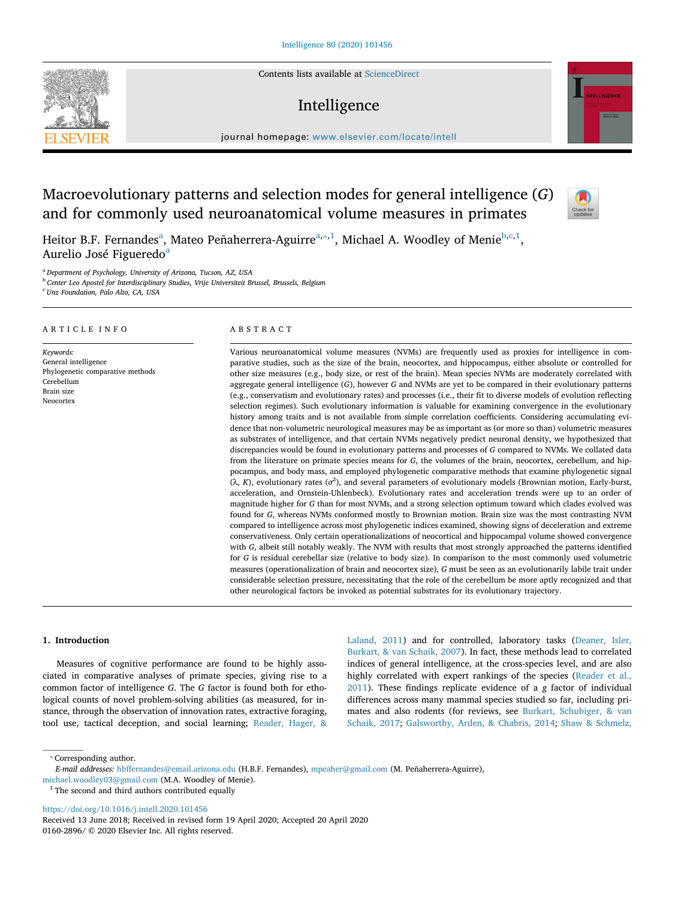Contents lists available at ScienceDirect

# Intelligence

journal homepage: www.elsevier.com/locate/intell

# Macroevolutionary patterns and selection modes for general intelligence (G) and for commonly used neuroanatomical volume measures in primates

Heitor B.F. Fernandes<sup>a</sup>, Mateo Peñaherrera-Aguirre<sup>a,\*,1</sup>, Michael A. Woodley of Menie<sup>b,c,1</sup>, Aurelio José Figueredo<sup>a</sup>

<sup>a</sup> Department of Psychology, University of Arizona, Tucson, AZ, USA

**b Center Leo Apostel for Interdisciplinary Studies, Vrije Universiteit Brussel, Brussels, Belgium** 

<sup>c</sup> Unz Foundation, Palo Alto, CA, USA

## ARTICLE INFO

Keywords: General intelligence Phylogenetic comparative methods Cerebellum Brain size Neocortex

### ABSTRACT

Various neuroanatomical volume measures (NVMs) are frequently used as proxies for intelligence in comparative studies, such as the size of the brain, neocortex, and hippocampus, either absolute or controlled for other size measures (e.g., body size, or rest of the brain). Mean species NVMs are moderately correlated with aggregate general intelligence (G), however G and NVMs are yet to be compared in their evolutionary patterns (e.g., conservatism and evolutionary rates) and processes (i.e., their fit to diverse models of evolution reflecting selection regimes). Such evolutionary information is valuable for examining convergence in the evolutionary history among traits and is not available from simple correlation coefficients. Considering accumulating evidence that non-volumetric neurological measures may be as important as (or more so than) volumetric measures as substrates of intelligence, and that certain NVMs negatively predict neuronal density, we hypothesized that discrepancies would be found in evolutionary patterns and processes of G compared to NVMs. We collated data from the literature on primate species means for G, the volumes of the brain, neocortex, cerebellum, and hippocampus, and body mass, and employed phylogenetic comparative methods that examine phylogenetic signal ( $\lambda$ , K), evolutionary rates ( $\sigma^2$ ), and several parameters of evolutionary models (Brownian motion, Early-burst, acceleration, and Ornstein-Uhlenbeck). Evolutionary rates and acceleration trends were up to an order of magnitude higher for G than for most NVMs, and a strong selection optimum toward which clades evolved was found for G, whereas NVMs conformed mostly to Brownian motion. Brain size was the most contrasting NVM compared to intelligence across most phylogenetic indices examined, showing signs of deceleration and extreme conservativeness. Only certain operationalizations of neocortical and hippocampal volume showed convergence with G, albeit still notably weakly. The NVM with results that most strongly approached the patterns identified for G is residual cerebellar size (relative to body size). In comparison to the most commonly used volumetric measures (operationalization of brain and neocortex size), G must be seen as an evolutionarily labile trait under considerable selection pressure, necessitating that the role of the cerebellum be more aptly recognized and that other neurological factors be invoked as potential substrates for its evolutionary trajectory.

#### 1. Introduction

Measures of cognitive performance are found to be highly associated in comparative analyses of primate species, giving rise to a common factor of intelligence G. The G factor is found both for ethological counts of novel problem-solving abilities (as measured, for instance, through the observation of innovation rates, extractive foraging, tool use, tactical deception, and social learning; Reader, Hager, &

Laland, 2011) and for controlled, laboratory tasks (Deaner, Isler, Burkart, & van Schaik, 2007). In fact, these methods lead to correlated indices of general intelligence, at the cross-species level, and are also highly correlated with expert rankings of the species (Reader et al., 2011). These findings replicate evidence of a g factor of individual differences across many mammal species studied so far, including primates and also rodents (for reviews, see Burkart, Schubiger, & van Schaik, 2017; Galsworthy, Arden, & Chabris, 2014; Shaw & Schmelz,

⁎ Corresponding author.

https://doi.org/10.1016/j.intell.2020.101456





 $\frac{N}{2}$ 

E-mail addresses: hbffernandes@email.arizona.edu (H.B.F. Fernandes), mpeaher@gmail.com (M. Peñaherrera-Aguirre),

michael.woodley03@gmail.com (M.A. Woodley of Menie).

<sup>&</sup>lt;sup>1</sup> The second and third authors contributed equally

Received 13 June 2018; Received in revised form 19 April 2020; Accepted 20 April 2020 0160-2896/ © 2020 Elsevier Inc. All rights reserved.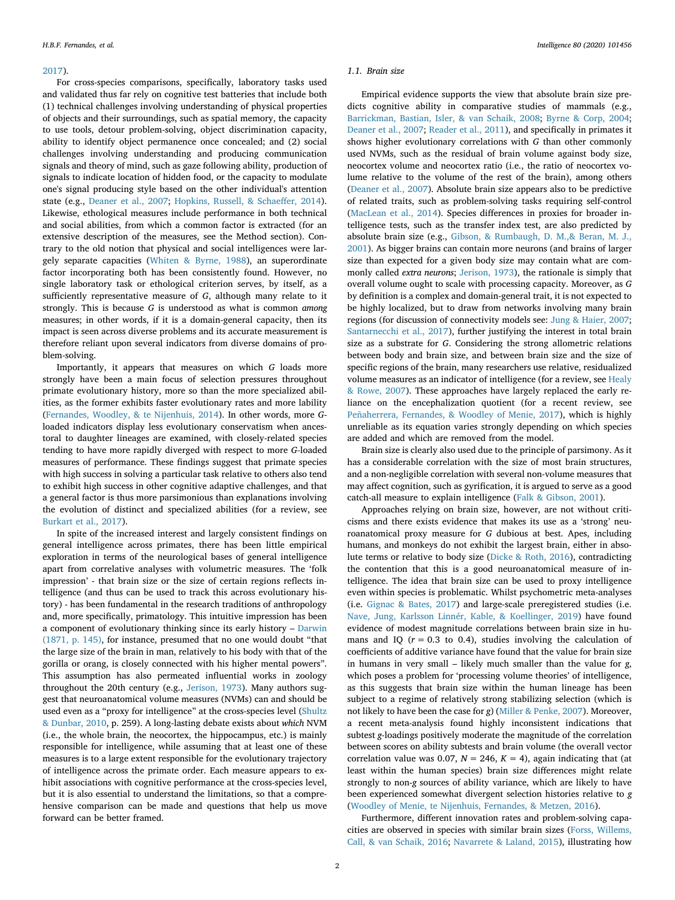#### 2017).

For cross-species comparisons, specifically, laboratory tasks used and validated thus far rely on cognitive test batteries that include both (1) technical challenges involving understanding of physical properties of objects and their surroundings, such as spatial memory, the capacity to use tools, detour problem-solving, object discrimination capacity, ability to identify object permanence once concealed; and (2) social challenges involving understanding and producing communication signals and theory of mind, such as gaze following ability, production of signals to indicate location of hidden food, or the capacity to modulate one's signal producing style based on the other individual's attention state (e.g., Deaner et al., 2007; Hopkins, Russell, & Schaeffer, 2014). Likewise, ethological measures include performance in both technical and social abilities, from which a common factor is extracted (for an extensive description of the measures, see the Method section). Contrary to the old notion that physical and social intelligences were largely separate capacities (Whiten & Byrne, 1988), an superordinate factor incorporating both has been consistently found. However, no single laboratory task or ethological criterion serves, by itself, as a sufficiently representative measure of G, although many relate to it strongly. This is because  $G$  is understood as what is common among measures; in other words, if it is a domain-general capacity, then its impact is seen across diverse problems and its accurate measurement is therefore reliant upon several indicators from diverse domains of problem-solving.

Importantly, it appears that measures on which G loads more strongly have been a main focus of selection pressures throughout primate evolutionary history, more so than the more specialized abilities, as the former exhibits faster evolutionary rates and more lability (Fernandes, Woodley, & te Nijenhuis, 2014). In other words, more Gloaded indicators display less evolutionary conservatism when ancestoral to daughter lineages are examined, with closely-related species tending to have more rapidly diverged with respect to more G-loaded measures of performance. These findings suggest that primate species with high success in solving a particular task relative to others also tend to exhibit high success in other cognitive adaptive challenges, and that a general factor is thus more parsimonious than explanations involving the evolution of distinct and specialized abilities (for a review, see Burkart et al., 2017).

In spite of the increased interest and largely consistent findings on general intelligence across primates, there has been little empirical exploration in terms of the neurological bases of general intelligence apart from correlative analyses with volumetric measures. The 'folk impression' - that brain size or the size of certain regions reflects intelligence (and thus can be used to track this across evolutionary history) - has been fundamental in the research traditions of anthropology and, more specifically, primatology. This intuitive impression has been a component of evolutionary thinking since its early history – Darwin (1871, p. 145), for instance, presumed that no one would doubt "that the large size of the brain in man, relatively to his body with that of the gorilla or orang, is closely connected with his higher mental powers". This assumption has also permeated influential works in zoology throughout the 20th century (e.g., Jerison, 1973). Many authors suggest that neuroanatomical volume measures (NVMs) can and should be used even as a "proxy for intelligence" at the cross-species level (Shultz & Dunbar, 2010, p. 259). A long-lasting debate exists about which NVM (i.e., the whole brain, the neocortex, the hippocampus, etc.) is mainly responsible for intelligence, while assuming that at least one of these measures is to a large extent responsible for the evolutionary trajectory of intelligence across the primate order. Each measure appears to exhibit associations with cognitive performance at the cross-species level, but it is also essential to understand the limitations, so that a comprehensive comparison can be made and questions that help us move forward can be better framed.

#### 1.1. Brain size

Empirical evidence supports the view that absolute brain size predicts cognitive ability in comparative studies of mammals (e.g., Barrickman, Bastian, Isler, & van Schaik, 2008; Byrne & Corp, 2004; Deaner et al., 2007; Reader et al., 2011), and specifically in primates it shows higher evolutionary correlations with G than other commonly used NVMs, such as the residual of brain volume against body size, neocortex volume and neocortex ratio (i.e., the ratio of neocortex volume relative to the volume of the rest of the brain), among others (Deaner et al., 2007). Absolute brain size appears also to be predictive of related traits, such as problem-solving tasks requiring self-control (MacLean et al., 2014). Species differences in proxies for broader intelligence tests, such as the transfer index test, are also predicted by absolute brain size (e.g., Gibson, & Rumbaugh, D. M.,& Beran, M. J., 2001). As bigger brains can contain more neurons (and brains of larger size than expected for a given body size may contain what are commonly called extra neurons; Jerison, 1973), the rationale is simply that overall volume ought to scale with processing capacity. Moreover, as G by definition is a complex and domain-general trait, it is not expected to be highly localized, but to draw from networks involving many brain regions (for discussion of connectivity models see: Jung & Haier, 2007; Santarnecchi et al., 2017), further justifying the interest in total brain size as a substrate for G. Considering the strong allometric relations between body and brain size, and between brain size and the size of specific regions of the brain, many researchers use relative, residualized volume measures as an indicator of intelligence (for a review, see Healy & Rowe, 2007). These approaches have largely replaced the early reliance on the encephalization quotient (for a recent review, see Peñaherrera, Fernandes, & Woodley of Menie, 2017), which is highly unreliable as its equation varies strongly depending on which species are added and which are removed from the model.

Brain size is clearly also used due to the principle of parsimony. As it has a considerable correlation with the size of most brain structures, and a non-negligible correlation with several non-volume measures that may affect cognition, such as gyrification, it is argued to serve as a good catch-all measure to explain intelligence (Falk & Gibson, 2001).

Approaches relying on brain size, however, are not without criticisms and there exists evidence that makes its use as a 'strong' neuroanatomical proxy measure for G dubious at best. Apes, including humans, and monkeys do not exhibit the largest brain, either in absolute terms or relative to body size (Dicke & Roth, 2016), contradicting the contention that this is a good neuroanatomical measure of intelligence. The idea that brain size can be used to proxy intelligence even within species is problematic. Whilst psychometric meta-analyses (i.e. Gignac & Bates, 2017) and large-scale preregistered studies (i.e. Nave, Jung, Karlsson Linnér, Kable, & Koellinger, 2019) have found evidence of modest magnitude correlations between brain size in humans and IQ ( $r = 0.3$  to 0.4), studies involving the calculation of coefficients of additive variance have found that the value for brain size in humans in very small – likely much smaller than the value for g, which poses a problem for 'processing volume theories' of intelligence, as this suggests that brain size within the human lineage has been subject to a regime of relatively strong stabilizing selection (which is not likely to have been the case for g) (Miller & Penke, 2007). Moreover, a recent meta-analysis found highly inconsistent indications that subtest g-loadings positively moderate the magnitude of the correlation between scores on ability subtests and brain volume (the overall vector correlation value was 0.07,  $N = 246$ ,  $K = 4$ ), again indicating that (at least within the human species) brain size differences might relate strongly to non-g sources of ability variance, which are likely to have been experienced somewhat divergent selection histories relative to g (Woodley of Menie, te Nijenhuis, Fernandes, & Metzen, 2016).

Furthermore, different innovation rates and problem-solving capacities are observed in species with similar brain sizes (Forss, Willems, Call, & van Schaik, 2016; Navarrete & Laland, 2015), illustrating how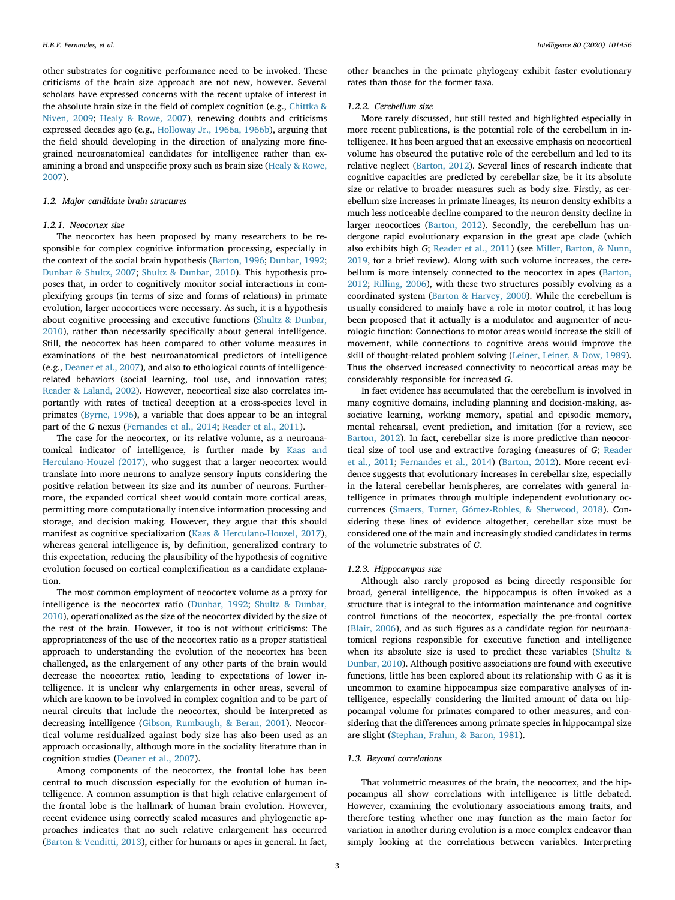other substrates for cognitive performance need to be invoked. These criticisms of the brain size approach are not new, however. Several scholars have expressed concerns with the recent uptake of interest in the absolute brain size in the field of complex cognition (e.g., Chittka & Niven, 2009; Healy & Rowe, 2007), renewing doubts and criticisms expressed decades ago (e.g., Holloway Jr., 1966a, 1966b), arguing that the field should developing in the direction of analyzing more finegrained neuroanatomical candidates for intelligence rather than examining a broad and unspecific proxy such as brain size (Healy & Rowe, 2007).

# 1.2. Major candidate brain structures

# 1.2.1. Neocortex size

The neocortex has been proposed by many researchers to be responsible for complex cognitive information processing, especially in the context of the social brain hypothesis (Barton, 1996; Dunbar, 1992; Dunbar & Shultz, 2007; Shultz & Dunbar, 2010). This hypothesis proposes that, in order to cognitively monitor social interactions in complexifying groups (in terms of size and forms of relations) in primate evolution, larger neocortices were necessary. As such, it is a hypothesis about cognitive processing and executive functions (Shultz & Dunbar, 2010), rather than necessarily specifically about general intelligence. Still, the neocortex has been compared to other volume measures in examinations of the best neuroanatomical predictors of intelligence (e.g., Deaner et al., 2007), and also to ethological counts of intelligencerelated behaviors (social learning, tool use, and innovation rates; Reader & Laland, 2002). However, neocortical size also correlates importantly with rates of tactical deception at a cross-species level in primates (Byrne, 1996), a variable that does appear to be an integral part of the G nexus (Fernandes et al., 2014; Reader et al., 2011).

The case for the neocortex, or its relative volume, as a neuroanatomical indicator of intelligence, is further made by Kaas and Herculano-Houzel (2017), who suggest that a larger neocortex would translate into more neurons to analyze sensory inputs considering the positive relation between its size and its number of neurons. Furthermore, the expanded cortical sheet would contain more cortical areas, permitting more computationally intensive information processing and storage, and decision making. However, they argue that this should manifest as cognitive specialization (Kaas & Herculano-Houzel, 2017), whereas general intelligence is, by definition, generalized contrary to this expectation, reducing the plausibility of the hypothesis of cognitive evolution focused on cortical complexification as a candidate explanation.

The most common employment of neocortex volume as a proxy for intelligence is the neocortex ratio (Dunbar, 1992; Shultz & Dunbar, 2010), operationalized as the size of the neocortex divided by the size of the rest of the brain. However, it too is not without criticisms: The appropriateness of the use of the neocortex ratio as a proper statistical approach to understanding the evolution of the neocortex has been challenged, as the enlargement of any other parts of the brain would decrease the neocortex ratio, leading to expectations of lower intelligence. It is unclear why enlargements in other areas, several of which are known to be involved in complex cognition and to be part of neural circuits that include the neocortex, should be interpreted as decreasing intelligence (Gibson, Rumbaugh, & Beran, 2001). Neocortical volume residualized against body size has also been used as an approach occasionally, although more in the sociality literature than in cognition studies (Deaner et al., 2007).

Among components of the neocortex, the frontal lobe has been central to much discussion especially for the evolution of human intelligence. A common assumption is that high relative enlargement of the frontal lobe is the hallmark of human brain evolution. However, recent evidence using correctly scaled measures and phylogenetic approaches indicates that no such relative enlargement has occurred (Barton & Venditti, 2013), either for humans or apes in general. In fact,

other branches in the primate phylogeny exhibit faster evolutionary rates than those for the former taxa.

# 1.2.2. Cerebellum size

More rarely discussed, but still tested and highlighted especially in more recent publications, is the potential role of the cerebellum in intelligence. It has been argued that an excessive emphasis on neocortical volume has obscured the putative role of the cerebellum and led to its relative neglect (Barton, 2012). Several lines of research indicate that cognitive capacities are predicted by cerebellar size, be it its absolute size or relative to broader measures such as body size. Firstly, as cerebellum size increases in primate lineages, its neuron density exhibits a much less noticeable decline compared to the neuron density decline in larger neocortices (Barton, 2012). Secondly, the cerebellum has undergone rapid evolutionary expansion in the great ape clade (which also exhibits high G; Reader et al., 2011) (see Miller, Barton, & Nunn, 2019, for a brief review). Along with such volume increases, the cerebellum is more intensely connected to the neocortex in apes (Barton, 2012; Rilling, 2006), with these two structures possibly evolving as a coordinated system (Barton & Harvey, 2000). While the cerebellum is usually considered to mainly have a role in motor control, it has long been proposed that it actually is a modulator and augmenter of neurologic function: Connections to motor areas would increase the skill of movement, while connections to cognitive areas would improve the skill of thought-related problem solving (Leiner, Leiner, & Dow, 1989). Thus the observed increased connectivity to neocortical areas may be considerably responsible for increased G.

In fact evidence has accumulated that the cerebellum is involved in many cognitive domains, including planning and decision-making, associative learning, working memory, spatial and episodic memory, mental rehearsal, event prediction, and imitation (for a review, see Barton, 2012). In fact, cerebellar size is more predictive than neocortical size of tool use and extractive foraging (measures of G; Reader et al., 2011; Fernandes et al., 2014) (Barton, 2012). More recent evidence suggests that evolutionary increases in cerebellar size, especially in the lateral cerebellar hemispheres, are correlates with general intelligence in primates through multiple independent evolutionary occurrences (Smaers, Turner, Gómez-Robles, & Sherwood, 2018). Considering these lines of evidence altogether, cerebellar size must be considered one of the main and increasingly studied candidates in terms of the volumetric substrates of G.

#### 1.2.3. Hippocampus size

Although also rarely proposed as being directly responsible for broad, general intelligence, the hippocampus is often invoked as a structure that is integral to the information maintenance and cognitive control functions of the neocortex, especially the pre-frontal cortex (Blair, 2006), and as such figures as a candidate region for neuroanatomical regions responsible for executive function and intelligence when its absolute size is used to predict these variables (Shultz & Dunbar, 2010). Although positive associations are found with executive functions, little has been explored about its relationship with G as it is uncommon to examine hippocampus size comparative analyses of intelligence, especially considering the limited amount of data on hippocampal volume for primates compared to other measures, and considering that the differences among primate species in hippocampal size are slight (Stephan, Frahm, & Baron, 1981).

# 1.3. Beyond correlations

That volumetric measures of the brain, the neocortex, and the hippocampus all show correlations with intelligence is little debated. However, examining the evolutionary associations among traits, and therefore testing whether one may function as the main factor for variation in another during evolution is a more complex endeavor than simply looking at the correlations between variables. Interpreting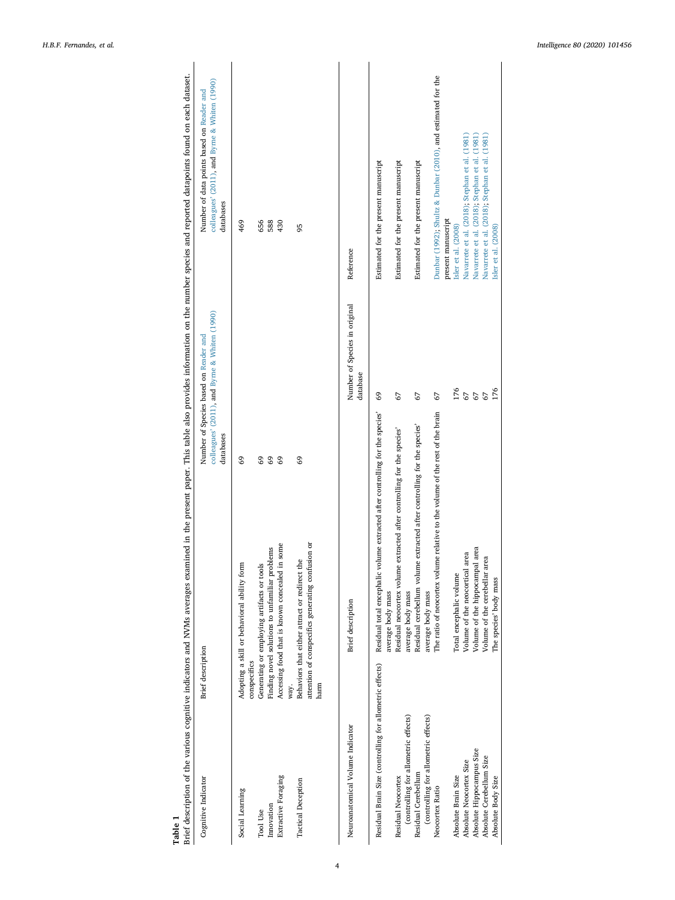| Table 1                                                  | Brief description of the various cognitive indicators and NVMs averages examined in the present paper. This table also provides information on the number species and reported datapoints found on each dataset. |                                                                                                     |                                                                                                         |
|----------------------------------------------------------|------------------------------------------------------------------------------------------------------------------------------------------------------------------------------------------------------------------|-----------------------------------------------------------------------------------------------------|---------------------------------------------------------------------------------------------------------|
| Cognitive Indicator                                      | <b>Brief</b> description                                                                                                                                                                                         | colleagues' (2011), and Byrne & Whiten (1990)<br>Number of Species based on Reader and<br>databases | colleagues' (2011), and Byrne & Whiten (1990)<br>Number of data points based on Reader and<br>databases |
| Social Learning                                          | Adopting a skill or behavioral ability form<br>conspecifics                                                                                                                                                      | 69                                                                                                  | 469                                                                                                     |
| Tool Use                                                 | Generating or employing artifacts or tools                                                                                                                                                                       | 69                                                                                                  | 656                                                                                                     |
| Innovation                                               | Finding novel solutions to unfamiliar problems                                                                                                                                                                   | 69                                                                                                  | 588                                                                                                     |
| Extractive Foraging                                      | in some<br>Accessing food that is known concealed                                                                                                                                                                | 69                                                                                                  | 430                                                                                                     |
|                                                          | way.                                                                                                                                                                                                             |                                                                                                     |                                                                                                         |
| <b>Tactical Deception</b>                                | Behaviors that either attract or redirect the                                                                                                                                                                    | 69                                                                                                  | 95                                                                                                      |
|                                                          | attention of conspecifics generating confusion or                                                                                                                                                                |                                                                                                     |                                                                                                         |
|                                                          | harm                                                                                                                                                                                                             |                                                                                                     |                                                                                                         |
| Neuroanatomical Volume Indicator                         | <b>Brief</b> description                                                                                                                                                                                         | Number of Species in original<br>database                                                           | Reference                                                                                               |
| Residual Brain Size (controlling for allometric effects) | volume extracted after controlling for the species'<br>Residual total encephalic<br>average body mass                                                                                                            | 69                                                                                                  | Estimated for the present manuscript                                                                    |
| Residual Neocortex                                       | Residual neocortex volume extracted after controlling for the species'                                                                                                                                           | 67                                                                                                  | Estimated for the present manuscript                                                                    |
| (controlling for allometric effects)                     | average body mass                                                                                                                                                                                                |                                                                                                     |                                                                                                         |
| Residual Cerebellum                                      | Residual cerebellum volume extracted after controlling for the species'                                                                                                                                          | 67                                                                                                  | Estimated for the present manuscript                                                                    |
| (controlling for allometric effects)                     | average body mass                                                                                                                                                                                                |                                                                                                     |                                                                                                         |
| Neocortex Ratio                                          | The ratio of neocortex volume relative to the volume of the rest of the brain                                                                                                                                    | 67                                                                                                  | Dunbar (1992); Shultz & Dunbar (2010), and estimated for the                                            |
|                                                          |                                                                                                                                                                                                                  |                                                                                                     | present manuscript                                                                                      |
| Absolute Brain Size                                      | Total encephalic volume                                                                                                                                                                                          | 176                                                                                                 | Isler et al. (2008)                                                                                     |
| Absolute Neocortex Size                                  | l area<br>Volume of the neocortical                                                                                                                                                                              | 67                                                                                                  | Navarrete et al. (2018); Stephan et al. (1981)                                                          |
| Absolute Hippocampus Size                                | Volume of the hippocampal area                                                                                                                                                                                   |                                                                                                     | Navarrete et al. (2018); Stephan et al. (1981)                                                          |
| Absolute Cerebellum Size                                 | area<br>Volume of the cerebellar                                                                                                                                                                                 | $67$<br>$176$                                                                                       | Navarrete et al. (2018), Stephan et al. (1981)                                                          |
| Absolute Body Size                                       | The species' body mass                                                                                                                                                                                           |                                                                                                     | Isler et al. (2008)                                                                                     |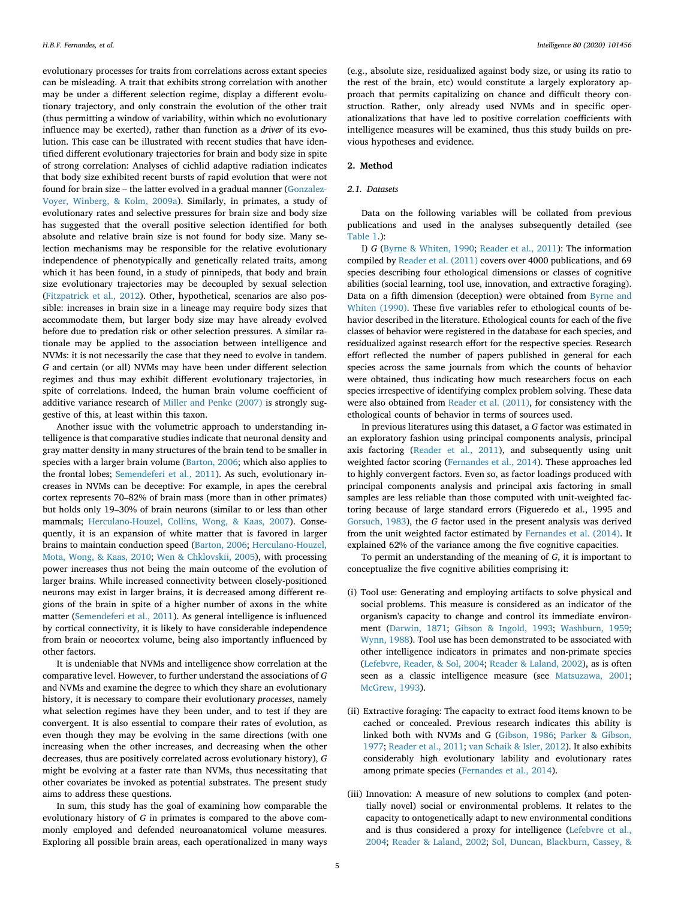evolutionary processes for traits from correlations across extant species can be misleading. A trait that exhibits strong correlation with another may be under a different selection regime, display a different evolutionary trajectory, and only constrain the evolution of the other trait (thus permitting a window of variability, within which no evolutionary influence may be exerted), rather than function as a driver of its evolution. This case can be illustrated with recent studies that have identified different evolutionary trajectories for brain and body size in spite of strong correlation: Analyses of cichlid adaptive radiation indicates that body size exhibited recent bursts of rapid evolution that were not found for brain size – the latter evolved in a gradual manner (Gonzalez-Voyer, Winberg, & Kolm, 2009a). Similarly, in primates, a study of evolutionary rates and selective pressures for brain size and body size has suggested that the overall positive selection identified for both absolute and relative brain size is not found for body size. Many selection mechanisms may be responsible for the relative evolutionary independence of phenotypically and genetically related traits, among which it has been found, in a study of pinnipeds, that body and brain size evolutionary trajectories may be decoupled by sexual selection (Fitzpatrick et al., 2012). Other, hypothetical, scenarios are also possible: increases in brain size in a lineage may require body sizes that accommodate them, but larger body size may have already evolved before due to predation risk or other selection pressures. A similar rationale may be applied to the association between intelligence and NVMs: it is not necessarily the case that they need to evolve in tandem. G and certain (or all) NVMs may have been under different selection regimes and thus may exhibit different evolutionary trajectories, in spite of correlations. Indeed, the human brain volume coefficient of additive variance research of Miller and Penke (2007) is strongly suggestive of this, at least within this taxon.

Another issue with the volumetric approach to understanding intelligence is that comparative studies indicate that neuronal density and gray matter density in many structures of the brain tend to be smaller in species with a larger brain volume (Barton, 2006; which also applies to the frontal lobes; Semendeferi et al., 2011). As such, evolutionary increases in NVMs can be deceptive: For example, in apes the cerebral cortex represents 70–82% of brain mass (more than in other primates) but holds only 19–30% of brain neurons (similar to or less than other mammals; Herculano-Houzel, Collins, Wong, & Kaas, 2007). Consequently, it is an expansion of white matter that is favored in larger brains to maintain conduction speed (Barton, 2006; Herculano-Houzel, Mota, Wong, & Kaas, 2010; Wen & Chklovskii, 2005), with processing power increases thus not being the main outcome of the evolution of larger brains. While increased connectivity between closely-positioned neurons may exist in larger brains, it is decreased among different regions of the brain in spite of a higher number of axons in the white matter (Semendeferi et al., 2011). As general intelligence is influenced by cortical connectivity, it is likely to have considerable independence from brain or neocortex volume, being also importantly influenced by other factors.

It is undeniable that NVMs and intelligence show correlation at the comparative level. However, to further understand the associations of G and NVMs and examine the degree to which they share an evolutionary history, it is necessary to compare their evolutionary processes, namely what selection regimes have they been under, and to test if they are convergent. It is also essential to compare their rates of evolution, as even though they may be evolving in the same directions (with one increasing when the other increases, and decreasing when the other decreases, thus are positively correlated across evolutionary history), G might be evolving at a faster rate than NVMs, thus necessitating that other covariates be invoked as potential substrates. The present study aims to address these questions.

In sum, this study has the goal of examining how comparable the evolutionary history of G in primates is compared to the above commonly employed and defended neuroanatomical volume measures. Exploring all possible brain areas, each operationalized in many ways

(e.g., absolute size, residualized against body size, or using its ratio to the rest of the brain, etc) would constitute a largely exploratory approach that permits capitalizing on chance and difficult theory construction. Rather, only already used NVMs and in specific operationalizations that have led to positive correlation coefficients with intelligence measures will be examined, thus this study builds on previous hypotheses and evidence.

# 2. Method

### 2.1. Datasets

Data on the following variables will be collated from previous publications and used in the analyses subsequently detailed (see Table 1.):

I) G (Byrne & Whiten, 1990; Reader et al., 2011): The information compiled by Reader et al. (2011) covers over 4000 publications, and 69 species describing four ethological dimensions or classes of cognitive abilities (social learning, tool use, innovation, and extractive foraging). Data on a fifth dimension (deception) were obtained from Byrne and Whiten (1990). These five variables refer to ethological counts of behavior described in the literature. Ethological counts for each of the five classes of behavior were registered in the database for each species, and residualized against research effort for the respective species. Research effort reflected the number of papers published in general for each species across the same journals from which the counts of behavior were obtained, thus indicating how much researchers focus on each species irrespective of identifying complex problem solving. These data were also obtained from Reader et al. (2011), for consistency with the ethological counts of behavior in terms of sources used.

In previous literatures using this dataset, a G factor was estimated in an exploratory fashion using principal components analysis, principal axis factoring (Reader et al., 2011), and subsequently using unit weighted factor scoring (Fernandes et al., 2014). These approaches led to highly convergent factors. Even so, as factor loadings produced with principal components analysis and principal axis factoring in small samples are less reliable than those computed with unit-weighted factoring because of large standard errors (Figueredo et al., 1995 and Gorsuch, 1983), the G factor used in the present analysis was derived from the unit weighted factor estimated by Fernandes et al. (2014). It explained 62% of the variance among the five cognitive capacities.

To permit an understanding of the meaning of G, it is important to conceptualize the five cognitive abilities comprising it:

- (i) Tool use: Generating and employing artifacts to solve physical and social problems. This measure is considered as an indicator of the organism's capacity to change and control its immediate environment (Darwin, 1871; Gibson & Ingold, 1993; Washburn, 1959; Wynn, 1988). Tool use has been demonstrated to be associated with other intelligence indicators in primates and non-primate species (Lefebvre, Reader, & Sol, 2004; Reader & Laland, 2002), as is often seen as a classic intelligence measure (see Matsuzawa, 2001; McGrew, 1993).
- (ii) Extractive foraging: The capacity to extract food items known to be cached or concealed. Previous research indicates this ability is linked both with NVMs and G (Gibson, 1986; Parker & Gibson, 1977; Reader et al., 2011; van Schaik & Isler, 2012). It also exhibits considerably high evolutionary lability and evolutionary rates among primate species (Fernandes et al., 2014).
- (iii) Innovation: A measure of new solutions to complex (and potentially novel) social or environmental problems. It relates to the capacity to ontogenetically adapt to new environmental conditions and is thus considered a proxy for intelligence (Lefebvre et al., 2004; Reader & Laland, 2002; Sol, Duncan, Blackburn, Cassey, &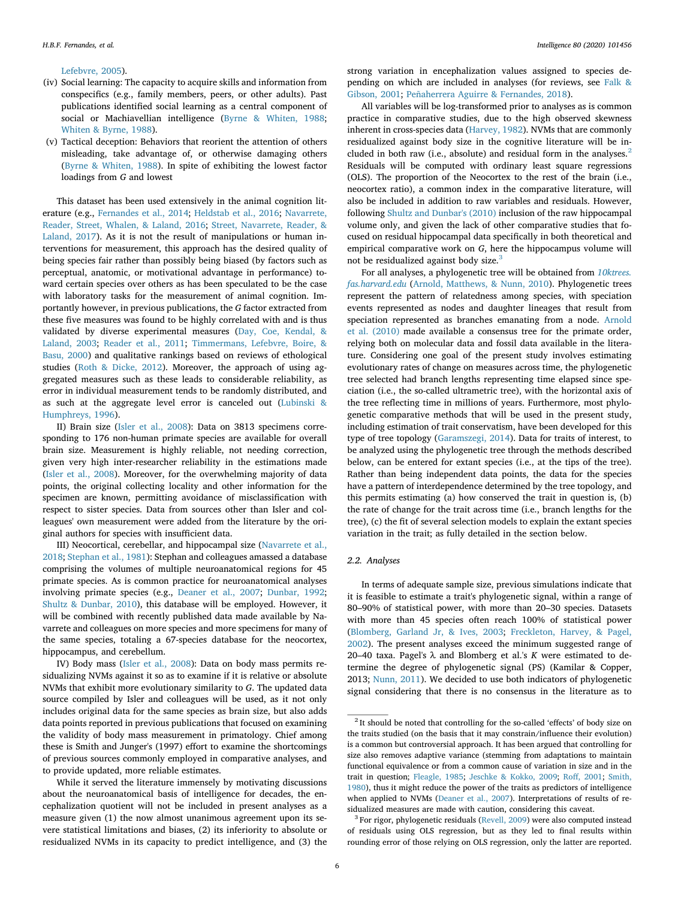#### Lefebvre, 2005).

- (iv) Social learning: The capacity to acquire skills and information from conspecifics (e.g., family members, peers, or other adults). Past publications identified social learning as a central component of social or Machiavellian intelligence (Byrne & Whiten, 1988; Whiten & Byrne, 1988).
- (v) Tactical deception: Behaviors that reorient the attention of others misleading, take advantage of, or otherwise damaging others (Byrne & Whiten, 1988). In spite of exhibiting the lowest factor loadings from G and lowest

This dataset has been used extensively in the animal cognition literature (e.g., Fernandes et al., 2014; Heldstab et al., 2016; Navarrete, Reader, Street, Whalen, & Laland, 2016; Street, Navarrete, Reader, & Laland, 2017). As it is not the result of manipulations or human interventions for measurement, this approach has the desired quality of being species fair rather than possibly being biased (by factors such as perceptual, anatomic, or motivational advantage in performance) toward certain species over others as has been speculated to be the case with laboratory tasks for the measurement of animal cognition. Importantly however, in previous publications, the G factor extracted from these five measures was found to be highly correlated with and is thus validated by diverse experimental measures (Day, Coe, Kendal, & Laland, 2003; Reader et al., 2011; Timmermans, Lefebvre, Boire, & Basu, 2000) and qualitative rankings based on reviews of ethological studies (Roth & Dicke, 2012). Moreover, the approach of using aggregated measures such as these leads to considerable reliability, as error in individual measurement tends to be randomly distributed, and as such at the aggregate level error is canceled out (Lubinski & Humphreys, 1996).

II) Brain size (Isler et al., 2008): Data on 3813 specimens corresponding to 176 non-human primate species are available for overall brain size. Measurement is highly reliable, not needing correction, given very high inter-researcher reliability in the estimations made (Isler et al., 2008). Moreover, for the overwhelming majority of data points, the original collecting locality and other information for the specimen are known, permitting avoidance of misclassification with respect to sister species. Data from sources other than Isler and colleagues' own measurement were added from the literature by the original authors for species with insufficient data.

III) Neocortical, cerebellar, and hippocampal size (Navarrete et al., 2018; Stephan et al., 1981): Stephan and colleagues amassed a database comprising the volumes of multiple neuroanatomical regions for 45 primate species. As is common practice for neuroanatomical analyses involving primate species (e.g., Deaner et al., 2007; Dunbar, 1992; Shultz & Dunbar, 2010), this database will be employed. However, it will be combined with recently published data made available by Navarrete and colleagues on more species and more specimens for many of the same species, totaling a 67-species database for the neocortex, hippocampus, and cerebellum.

IV) Body mass (Isler et al., 2008): Data on body mass permits residualizing NVMs against it so as to examine if it is relative or absolute NVMs that exhibit more evolutionary similarity to G. The updated data source compiled by Isler and colleagues will be used, as it not only includes original data for the same species as brain size, but also adds data points reported in previous publications that focused on examining the validity of body mass measurement in primatology. Chief among these is Smith and Junger's (1997) effort to examine the shortcomings of previous sources commonly employed in comparative analyses, and to provide updated, more reliable estimates.

While it served the literature immensely by motivating discussions about the neuroanatomical basis of intelligence for decades, the encephalization quotient will not be included in present analyses as a measure given (1) the now almost unanimous agreement upon its severe statistical limitations and biases, (2) its inferiority to absolute or residualized NVMs in its capacity to predict intelligence, and (3) the strong variation in encephalization values assigned to species depending on which are included in analyses (for reviews, see Falk & Gibson, 2001; Peñaherrera Aguirre & Fernandes, 2018).

All variables will be log-transformed prior to analyses as is common practice in comparative studies, due to the high observed skewness inherent in cross-species data (Harvey, 1982). NVMs that are commonly residualized against body size in the cognitive literature will be included in both raw (i.e., absolute) and residual form in the analyses.<sup>2</sup> Residuals will be computed with ordinary least square regressions (OLS). The proportion of the Neocortex to the rest of the brain (i.e., neocortex ratio), a common index in the comparative literature, will also be included in addition to raw variables and residuals. However, following Shultz and Dunbar's (2010) inclusion of the raw hippocampal volume only, and given the lack of other comparative studies that focused on residual hippocampal data specifically in both theoretical and empirical comparative work on G, here the hippocampus volume will not be residualized against body size.<sup>3</sup>

For all analyses, a phylogenetic tree will be obtained from 10ktrees. fas.harvard.edu (Arnold, Matthews, & Nunn, 2010). Phylogenetic trees represent the pattern of relatedness among species, with speciation events represented as nodes and daughter lineages that result from speciation represented as branches emanating from a node. Arnold et al. (2010) made available a consensus tree for the primate order, relying both on molecular data and fossil data available in the literature. Considering one goal of the present study involves estimating evolutionary rates of change on measures across time, the phylogenetic tree selected had branch lengths representing time elapsed since speciation (i.e., the so-called ultrametric tree), with the horizontal axis of the tree reflecting time in millions of years. Furthermore, most phylogenetic comparative methods that will be used in the present study, including estimation of trait conservatism, have been developed for this type of tree topology (Garamszegi, 2014). Data for traits of interest, to be analyzed using the phylogenetic tree through the methods described below, can be entered for extant species (i.e., at the tips of the tree). Rather than being independent data points, the data for the species have a pattern of interdependence determined by the tree topology, and this permits estimating (a) how conserved the trait in question is, (b) the rate of change for the trait across time (i.e., branch lengths for the tree), (c) the fit of several selection models to explain the extant species variation in the trait; as fully detailed in the section below.

## 2.2. Analyses

In terms of adequate sample size, previous simulations indicate that it is feasible to estimate a trait's phylogenetic signal, within a range of 80–90% of statistical power, with more than 20–30 species. Datasets with more than 45 species often reach 100% of statistical power (Blomberg, Garland Jr, & Ives, 2003; Freckleton, Harvey, & Pagel, 2002). The present analyses exceed the minimum suggested range of 20–40 taxa. Pagel's  $\lambda$  and Blomberg et al.'s K were estimated to determine the degree of phylogenetic signal (PS) (Kamilar & Copper, 2013; Nunn, 2011). We decided to use both indicators of phylogenetic signal considering that there is no consensus in the literature as to

<sup>&</sup>lt;sup>2</sup> It should be noted that controlling for the so-called 'effects' of body size on the traits studied (on the basis that it may constrain/influence their evolution) is a common but controversial approach. It has been argued that controlling for size also removes adaptive variance (stemming from adaptations to maintain functional equivalence or from a common cause of variation in size and in the trait in question; Fleagle, 1985; Jeschke & Kokko, 2009; Roff, 2001; Smith, 1980), thus it might reduce the power of the traits as predictors of intelligence when applied to NVMs (Deaner et al., 2007). Interpretations of results of residualized measures are made with caution, considering this caveat.

<sup>&</sup>lt;sup>3</sup> For rigor, phylogenetic residuals (Revell, 2009) were also computed instead of residuals using OLS regression, but as they led to final results within rounding error of those relying on OLS regression, only the latter are reported.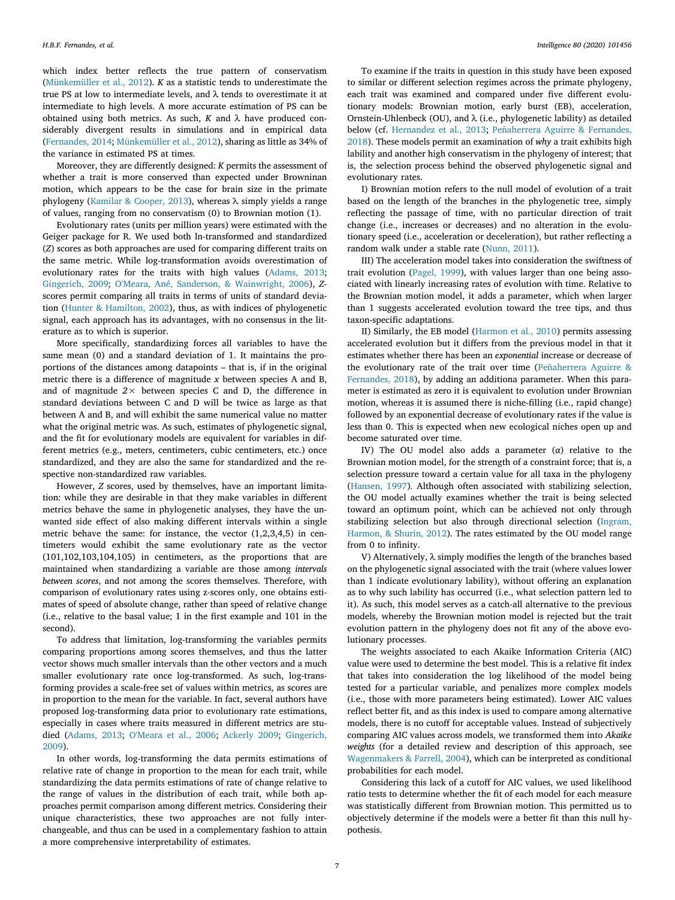which index better reflects the true pattern of conservatism (Münkemüller et al., 2012). K as a statistic tends to underestimate the true PS at low to intermediate levels, and λ tends to overestimate it at intermediate to high levels. A more accurate estimation of PS can be obtained using both metrics. As such,  $K$  and  $\lambda$  have produced considerably divergent results in simulations and in empirical data (Fernandes, 2014; Münkemüller et al., 2012), sharing as little as 34% of the variance in estimated PS at times.

Moreover, they are differently designed: K permits the assessment of whether a trait is more conserved than expected under Browninan motion, which appears to be the case for brain size in the primate phylogeny (Kamilar & Cooper, 2013), whereas λ simply yields a range of values, ranging from no conservatism (0) to Brownian motion (1).

Evolutionary rates (units per million years) were estimated with the Geiger package for R. We used both ln-transformed and standardized (Z) scores as both approaches are used for comparing different traits on the same metric. While log-transformation avoids overestimation of evolutionary rates for the traits with high values (Adams, 2013; Gingerich, 2009; O'Meara, Ané, Sanderson, & Wainwright, 2006), Zscores permit comparing all traits in terms of units of standard deviation (Hunter & Hamilton, 2002), thus, as with indices of phylogenetic signal, each approach has its advantages, with no consensus in the literature as to which is superior.

More specifically, standardizing forces all variables to have the same mean (0) and a standard deviation of 1. It maintains the proportions of the distances among datapoints – that is, if in the original metric there is a difference of magnitude  $x$  between species A and B, and of magnitude  $2 \times$  between species C and D, the difference in standard deviations between C and D will be twice as large as that between A and B, and will exhibit the same numerical value no matter what the original metric was. As such, estimates of phylogenetic signal, and the fit for evolutionary models are equivalent for variables in different metrics (e.g., meters, centimeters, cubic centimeters, etc.) once standardized, and they are also the same for standardized and the respective non-standardized raw variables.

However, Z scores, used by themselves, have an important limitation: while they are desirable in that they make variables in different metrics behave the same in phylogenetic analyses, they have the unwanted side effect of also making different intervals within a single metric behave the same: for instance, the vector (1,2,3,4,5) in centimeters would exhibit the same evolutionary rate as the vector (101,102,103,104,105) in centimeters, as the proportions that are maintained when standardizing a variable are those among intervals between scores, and not among the scores themselves. Therefore, with comparison of evolutionary rates using z-scores only, one obtains estimates of speed of absolute change, rather than speed of relative change (i.e., relative to the basal value; 1 in the first example and 101 in the second).

To address that limitation, log-transforming the variables permits comparing proportions among scores themselves, and thus the latter vector shows much smaller intervals than the other vectors and a much smaller evolutionary rate once log-transformed. As such, log-transforming provides a scale-free set of values within metrics, as scores are in proportion to the mean for the variable. In fact, several authors have proposed log-transforming data prior to evolutionary rate estimations, especially in cases where traits measured in different metrics are studied (Adams, 2013; O'Meara et al., 2006; Ackerly 2009; Gingerich, 2009).

In other words, log-transforming the data permits estimations of relative rate of change in proportion to the mean for each trait, while standardizing the data permits estimations of rate of change relative to the range of values in the distribution of each trait, while both approaches permit comparison among different metrics. Considering their unique characteristics, these two approaches are not fully interchangeable, and thus can be used in a complementary fashion to attain a more comprehensive interpretability of estimates.

To examine if the traits in question in this study have been exposed to similar or different selection regimes across the primate phylogeny, each trait was examined and compared under five different evolutionary models: Brownian motion, early burst (EB), acceleration, Ornstein-Uhlenbeck (OU), and λ (i.e., phylogenetic lability) as detailed below (cf. Hernandez et al., 2013; Peñaherrera Aguirre & Fernandes, 2018). These models permit an examination of why a trait exhibits high lability and another high conservatism in the phylogeny of interest; that is, the selection process behind the observed phylogenetic signal and evolutionary rates.

I) Brownian motion refers to the null model of evolution of a trait based on the length of the branches in the phylogenetic tree, simply reflecting the passage of time, with no particular direction of trait change (i.e., increases or decreases) and no alteration in the evolutionary speed (i.e., acceleration or deceleration), but rather reflecting a random walk under a stable rate (Nunn, 2011).

III) The acceleration model takes into consideration the swiftness of trait evolution (Pagel, 1999), with values larger than one being associated with linearly increasing rates of evolution with time. Relative to the Brownian motion model, it adds a parameter, which when larger than 1 suggests accelerated evolution toward the tree tips, and thus taxon-specific adaptations.

II) Similarly, the EB model (Harmon et al., 2010) permits assessing accelerated evolution but it differs from the previous model in that it estimates whether there has been an exponential increase or decrease of the evolutionary rate of the trait over time (Peñaherrera Aguirre & Fernandes, 2018), by adding an additiona parameter. When this parameter is estimated as zero it is equivalent to evolution under Brownian motion, whereas it is assumed there is niche-filling (i.e., rapid change) followed by an exponential decrease of evolutionary rates if the value is less than 0. This is expected when new ecological niches open up and become saturated over time.

IV) The OU model also adds a parameter  $(a)$  relative to the Brownian motion model, for the strength of a constraint force; that is, a selection pressure toward a certain value for all taxa in the phylogeny (Hansen, 1997). Although often associated with stabilizing selection, the OU model actually examines whether the trait is being selected toward an optimum point, which can be achieved not only through stabilizing selection but also through directional selection (Ingram, Harmon, & Shurin, 2012). The rates estimated by the OU model range from 0 to infinity.

V) Alternatively, λ simply modifies the length of the branches based on the phylogenetic signal associated with the trait (where values lower than 1 indicate evolutionary lability), without offering an explanation as to why such lability has occurred (i.e., what selection pattern led to it). As such, this model serves as a catch-all alternative to the previous models, whereby the Brownian motion model is rejected but the trait evolution pattern in the phylogeny does not fit any of the above evolutionary processes.

The weights associated to each Akaike Information Criteria (AIC) value were used to determine the best model. This is a relative fit index that takes into consideration the log likelihood of the model being tested for a particular variable, and penalizes more complex models (i.e., those with more parameters being estimated). Lower AIC values reflect better fit, and as this index is used to compare among alternative models, there is no cutoff for acceptable values. Instead of subjectively comparing AIC values across models, we transformed them into Akaike weights (for a detailed review and description of this approach, see Wagenmakers & Farrell, 2004), which can be interpreted as conditional probabilities for each model.

Considering this lack of a cutoff for AIC values, we used likelihood ratio tests to determine whether the fit of each model for each measure was statistically different from Brownian motion. This permitted us to objectively determine if the models were a better fit than this null hypothesis.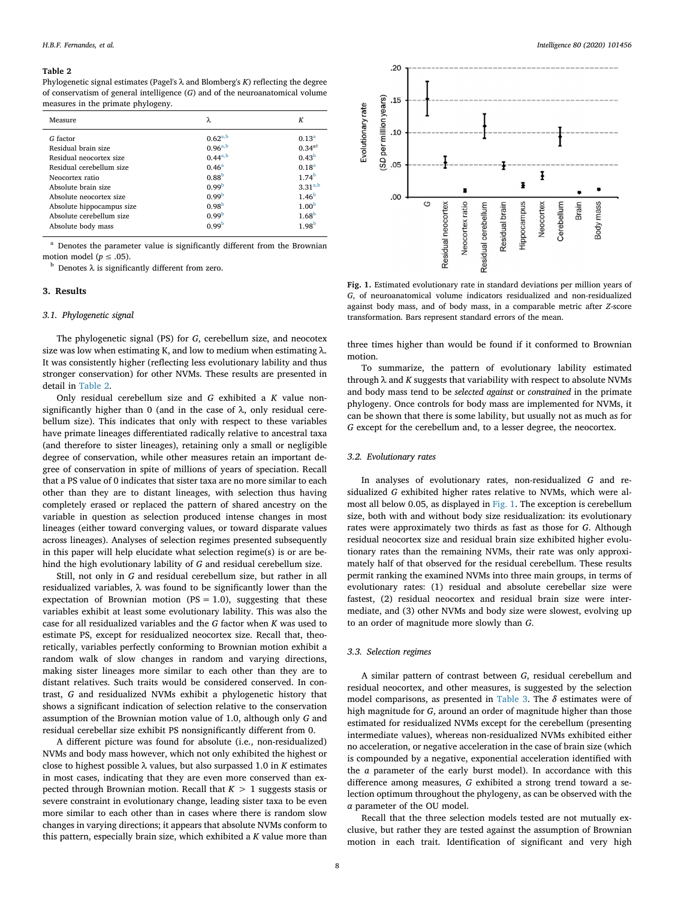#### Table 2

Phylogenetic signal estimates (Pagel's  $\lambda$  and Blomberg's  $K$ ) reflecting the degree of conservatism of general intelligence (G) and of the neuroanatomical volume measures in the primate phylogeny.

| Measure                   | λ.                | К                 |
|---------------------------|-------------------|-------------------|
| G factor                  | $0.62^{a,b}$      | $0.13^{a}$        |
| Residual brain size       | $0.96^{a,b}$      | $0.34^{a\dagger}$ |
| Residual neocortex size   | $0.44^{a,b}$      | 0.43 <sup>b</sup> |
| Residual cerebellum size  | $0.46^{\rm a}$    | $0.18^{a}$        |
| Neocortex ratio           | 0.88 <sup>b</sup> | $1.74^{b}$        |
| Absolute brain size       | 0.99 <sup>b</sup> | $3.31^{a,b}$      |
| Absolute neocortex size   | 0.99 <sup>b</sup> | 1.46 <sup>b</sup> |
| Absolute hippocampus size | 0.98 <sup>b</sup> | 1.00 <sup>b</sup> |
| Absolute cerebellum size  | 0.99 <sup>b</sup> | 1.68 <sup>b</sup> |
| Absolute body mass        | 0.99 <sup>b</sup> | 1.98 <sup>b</sup> |

Denotes the parameter value is significantly different from the Brownian motion model ( $p \leq .05$ ).

 $<sup>b</sup>$  Denotes λ is significantly different from zero.</sup>

### 3. Results

# 3.1. Phylogenetic signal

The phylogenetic signal (PS) for G, cerebellum size, and neocotex size was low when estimating K, and low to medium when estimating  $λ$ . It was consistently higher (reflecting less evolutionary lability and thus stronger conservation) for other NVMs. These results are presented in detail in Table 2.

Only residual cerebellum size and G exhibited a K value nonsignificantly higher than 0 (and in the case of  $\lambda$ , only residual cerebellum size). This indicates that only with respect to these variables have primate lineages differentiated radically relative to ancestral taxa (and therefore to sister lineages), retaining only a small or negligible degree of conservation, while other measures retain an important degree of conservation in spite of millions of years of speciation. Recall that a PS value of 0 indicates that sister taxa are no more similar to each other than they are to distant lineages, with selection thus having completely erased or replaced the pattern of shared ancestry on the variable in question as selection produced intense changes in most lineages (either toward converging values, or toward disparate values across lineages). Analyses of selection regimes presented subsequently in this paper will help elucidate what selection regime(s) is or are behind the high evolutionary lability of G and residual cerebellum size.

Still, not only in G and residual cerebellum size, but rather in all residualized variables, λ was found to be significantly lower than the expectation of Brownian motion ( $PS = 1.0$ ), suggesting that these variables exhibit at least some evolutionary lability. This was also the case for all residualized variables and the G factor when K was used to estimate PS, except for residualized neocortex size. Recall that, theoretically, variables perfectly conforming to Brownian motion exhibit a random walk of slow changes in random and varying directions, making sister lineages more similar to each other than they are to distant relatives. Such traits would be considered conserved. In contrast, G and residualized NVMs exhibit a phylogenetic history that shows a significant indication of selection relative to the conservation assumption of the Brownian motion value of 1.0, although only G and residual cerebellar size exhibit PS nonsignificantly different from 0.

A different picture was found for absolute (i.e., non-residualized) NVMs and body mass however, which not only exhibited the highest or close to highest possible  $\lambda$  values, but also surpassed 1.0 in K estimates in most cases, indicating that they are even more conserved than expected through Brownian motion. Recall that  $K > 1$  suggests stasis or severe constraint in evolutionary change, leading sister taxa to be even more similar to each other than in cases where there is random slow changes in varying directions; it appears that absolute NVMs conform to this pattern, especially brain size, which exhibited a  $K$  value more than



Fig. 1. Estimated evolutionary rate in standard deviations per million years of G, of neuroanatomical volume indicators residualized and non-residualized against body mass, and of body mass, in a comparable metric after Z-score transformation. Bars represent standard errors of the mean.

three times higher than would be found if it conformed to Brownian motion.

To summarize, the pattern of evolutionary lability estimated through  $\lambda$  and  $K$  suggests that variability with respect to absolute NVMs and body mass tend to be selected against or constrained in the primate phylogeny. Once controls for body mass are implemented for NVMs, it can be shown that there is some lability, but usually not as much as for G except for the cerebellum and, to a lesser degree, the neocortex.

#### 3.2. Evolutionary rates

In analyses of evolutionary rates, non-residualized G and residualized G exhibited higher rates relative to NVMs, which were almost all below 0.05, as displayed in Fig. 1. The exception is cerebellum size, both with and without body size residualization: its evolutionary rates were approximately two thirds as fast as those for G. Although residual neocortex size and residual brain size exhibited higher evolutionary rates than the remaining NVMs, their rate was only approximately half of that observed for the residual cerebellum. These results permit ranking the examined NVMs into three main groups, in terms of evolutionary rates: (1) residual and absolute cerebellar size were fastest, (2) residual neocortex and residual brain size were intermediate, and (3) other NVMs and body size were slowest, evolving up to an order of magnitude more slowly than G.

#### 3.3. Selection regimes

A similar pattern of contrast between G, residual cerebellum and residual neocortex, and other measures, is suggested by the selection model comparisons, as presented in Table 3. The  $\delta$  estimates were of high magnitude for G, around an order of magnitude higher than those estimated for residualized NVMs except for the cerebellum (presenting intermediate values), whereas non-residualized NVMs exhibited either no acceleration, or negative acceleration in the case of brain size (which is compounded by a negative, exponential acceleration identified with the a parameter of the early burst model). In accordance with this difference among measures, G exhibited a strong trend toward a selection optimum throughout the phylogeny, as can be observed with the α parameter of the OU model.

Recall that the three selection models tested are not mutually exclusive, but rather they are tested against the assumption of Brownian motion in each trait. Identification of significant and very high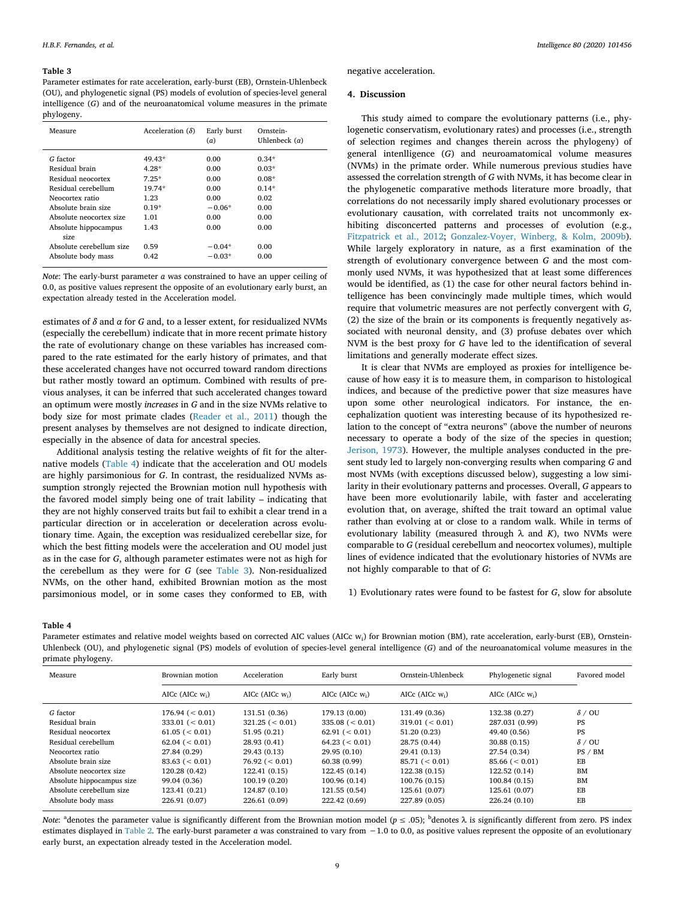#### Table 3

Parameter estimates for rate acceleration, early-burst (EB), Ornstein-Uhlenbeck (OU), and phylogenetic signal (PS) models of evolution of species-level general intelligence (G) and of the neuroanatomical volume measures in the primate phylogeny.

| Measure                                                | Acceleration $(\delta)$ | Early burst<br>(a)   | Ornstein-<br>Uhlenbeck $(\alpha)$ |
|--------------------------------------------------------|-------------------------|----------------------|-----------------------------------|
| G factor                                               | 49.43*                  | 0.00                 | $0.34*$                           |
| Residual brain                                         | $4.28*$                 | 0.00                 | $0.03*$                           |
| Residual neocortex                                     | $7.25*$                 | 0.00                 | $0.08*$                           |
| Residual cerebellum                                    | $19.74*$                | 0.00                 | $0.14*$                           |
| Neocortex ratio                                        | 1.23                    | 0.00                 | 0.02                              |
| Absolute brain size                                    | $0.19*$                 | $-0.06*$             | 0.00                              |
| Absolute neocortex size                                | 1.01                    | 0.00                 | 0.00                              |
| Absolute hippocampus                                   | 1.43                    | 0.00                 | 0.00                              |
| size<br>Absolute cerebellum size<br>Absolute body mass | 0.59<br>0.42            | $-0.04*$<br>$-0.03*$ | 0.00<br>0.00                      |

*Note:* The early-burst parameter  $\alpha$  was constrained to have an upper ceiling of 0.0, as positive values represent the opposite of an evolutionary early burst, an expectation already tested in the Acceleration model.

estimates of  $\delta$  and  $\alpha$  for G and, to a lesser extent, for residualized NVMs (especially the cerebellum) indicate that in more recent primate history the rate of evolutionary change on these variables has increased compared to the rate estimated for the early history of primates, and that these accelerated changes have not occurred toward random directions but rather mostly toward an optimum. Combined with results of previous analyses, it can be inferred that such accelerated changes toward an optimum were mostly increases in G and in the size NVMs relative to body size for most primate clades (Reader et al., 2011) though the present analyses by themselves are not designed to indicate direction, especially in the absence of data for ancestral species.

Additional analysis testing the relative weights of fit for the alternative models (Table 4) indicate that the acceleration and OU models are highly parsimonious for G. In contrast, the residualized NVMs assumption strongly rejected the Brownian motion null hypothesis with the favored model simply being one of trait lability – indicating that they are not highly conserved traits but fail to exhibit a clear trend in a particular direction or in acceleration or deceleration across evolutionary time. Again, the exception was residualized cerebellar size, for which the best fitting models were the acceleration and OU model just as in the case for G, although parameter estimates were not as high for the cerebellum as they were for G (see Table 3). Non-residualized NVMs, on the other hand, exhibited Brownian motion as the most parsimonious model, or in some cases they conformed to EB, with negative acceleration.

#### 4. Discussion

This study aimed to compare the evolutionary patterns (i.e., phylogenetic conservatism, evolutionary rates) and processes (i.e., strength of selection regimes and changes therein across the phylogeny) of general intenlligence (G) and neuroamatomical volume measures (NVMs) in the primate order. While numerous previous studies have assessed the correlation strength of G with NVMs, it has become clear in the phylogenetic comparative methods literature more broadly, that correlations do not necessarily imply shared evolutionary processes or evolutionary causation, with correlated traits not uncommonly exhibiting disconcerted patterns and processes of evolution (e.g., Fitzpatrick et al., 2012; Gonzalez-Voyer, Winberg, & Kolm, 2009b). While largely exploratory in nature, as a first examination of the strength of evolutionary convergence between G and the most commonly used NVMs, it was hypothesized that at least some differences would be identified, as (1) the case for other neural factors behind intelligence has been convincingly made multiple times, which would require that volumetric measures are not perfectly convergent with G, (2) the size of the brain or its components is frequently negatively associated with neuronal density, and (3) profuse debates over which NVM is the best proxy for G have led to the identification of several limitations and generally moderate effect sizes.

It is clear that NVMs are employed as proxies for intelligence because of how easy it is to measure them, in comparison to histological indices, and because of the predictive power that size measures have upon some other neurological indicators. For instance, the encephalization quotient was interesting because of its hypothesized relation to the concept of "extra neurons" (above the number of neurons necessary to operate a body of the size of the species in question; Jerison, 1973). However, the multiple analyses conducted in the present study led to largely non-converging results when comparing G and most NVMs (with exceptions discussed below), suggesting a low similarity in their evolutionary patterns and processes. Overall, G appears to have been more evolutionarily labile, with faster and accelerating evolution that, on average, shifted the trait toward an optimal value rather than evolving at or close to a random walk. While in terms of evolutionary lability (measured through  $\lambda$  and  $K$ ), two NVMs were comparable to G (residual cerebellum and neocortex volumes), multiple lines of evidence indicated that the evolutionary histories of NVMs are not highly comparable to that of G:

1) Evolutionary rates were found to be fastest for G, slow for absolute

#### Table 4

Parameter estimates and relative model weights based on corrected AIC values (AICc w<sub>i</sub>) for Brownian motion (BM), rate acceleration, early-burst (EB), Ornstein-Uhlenbeck (OU), and phylogenetic signal (PS) models of evolution of species-level general intelligence (G) and of the neuroanatomical volume measures in the primate phylogeny.

| Measure                   | Brownian motion          | Acceleration                      | Early burst              | Ornstein-Uhlenbeck   | Phylogenetic signal         | Favored model |
|---------------------------|--------------------------|-----------------------------------|--------------------------|----------------------|-----------------------------|---------------|
|                           | AIC $c$ (AIC $c$ $w_i$ ) | AIC $c$ (AIC $c$ w <sub>i</sub> ) | AIC $c$ (AIC $c$ $w_i$ ) | AIC $c$ (AIC $c$ w.) | AICc (AICc w <sub>i</sub> ) |               |
| G factor                  | 176.94 (< 0.01)          | 131.51 (0.36)                     | 179.13 (0.00)            | 131.49 (0.36)        | 132.38 (0.27)               | $\delta$ / OU |
| Residual brain            | $333.01$ ( $< 0.01$ )    | $321.25 \leqslant 0.01$           | $335.08$ ( $< 0.01$ )    | 319.01 $(< 0.01)$    | 287.031 (0.99)              | <b>PS</b>     |
| Residual neocortex        | 61.05 (< 0.01)           | 51.95(0.21)                       | 62.91 (< 0.01)           | 51.20 (0.23)         | 49.40 (0.56)                | <b>PS</b>     |
| Residual cerebellum       | 62.04 (< 0.01)           | 28.93 (0.41)                      | 64.23 (< 0.01)           | 28.75 (0.44)         | 30.88 (0.15)                | $\delta$ / OU |
| Neocortex ratio           | 27.84 (0.29)             | 29.43 (0.13)                      | 29.95(0.10)              | 29.41 (0.13)         | 27.54 (0.34)                | PS / BM       |
| Absolute brain size       | 83.63 (< 0.01)           | 76.92 (< 0.01)                    | 60.38(0.99)              | 85.71 (< 0.01)       | 85.66 (< 0.01)              | EB            |
| Absolute neocortex size   | 120.28 (0.42)            | 122.41 (0.15)                     | 122.45 (0.14)            | 122.38 (0.15)        | 122.52 (0.14)               | <b>BM</b>     |
| Absolute hippocampus size | 99.04 (0.36)             | 100.19 (0.20)                     | 100.96 (0.14)            | 100.76 (0.15)        | 100.84 (0.15)               | <b>BM</b>     |
| Absolute cerebellum size  | 123.41 (0.21)            | 124.87 (0.10)                     | 121.55 (0.54)            | 125.61 (0.07)        | 125.61 (0.07)               | EB            |
| Absolute body mass        | 226.91 (0.07)            | 226.61 (0.09)                     | 222.42 (0.69)            | 227.89 (0.05)        | 226.24 (0.10)               | EB            |

Note: <sup>a</sup>denotes the parameter value is significantly different from the Brownian motion model ( $p \le .05$ ); <sup>b</sup>denotes  $\lambda$  is significantly different from zero. PS index estimates displayed in Table 2. The early-burst parameter a was constrained to vary from −1.0 to 0.0, as positive values represent the opposite of an evolutionary early burst, an expectation already tested in the Acceleration model.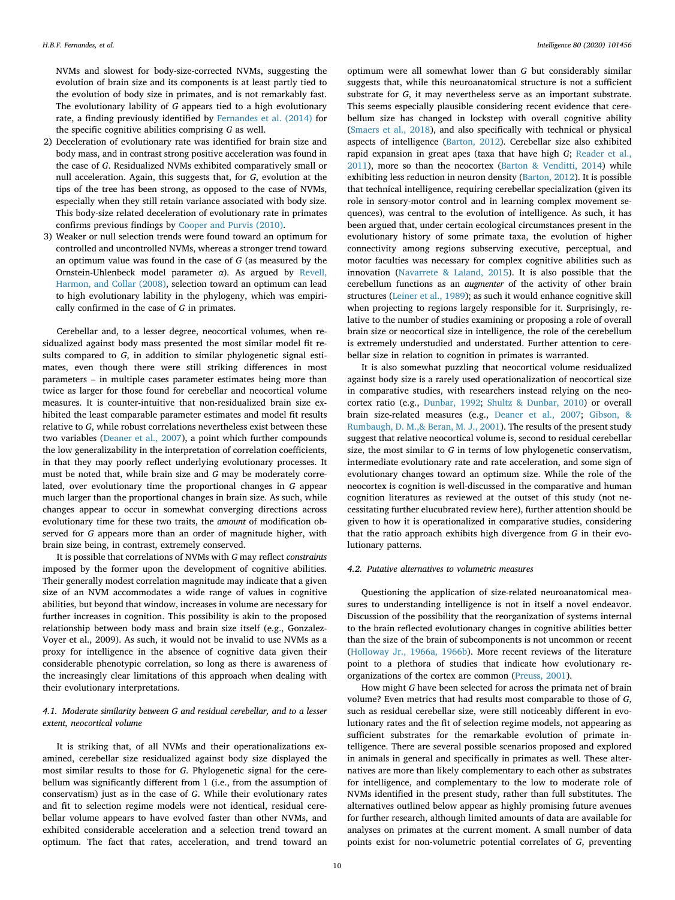NVMs and slowest for body-size-corrected NVMs, suggesting the evolution of brain size and its components is at least partly tied to the evolution of body size in primates, and is not remarkably fast. The evolutionary lability of G appears tied to a high evolutionary rate, a finding previously identified by Fernandes et al. (2014) for the specific cognitive abilities comprising G as well.

- 2) Deceleration of evolutionary rate was identified for brain size and body mass, and in contrast strong positive acceleration was found in the case of G. Residualized NVMs exhibited comparatively small or null acceleration. Again, this suggests that, for G, evolution at the tips of the tree has been strong, as opposed to the case of NVMs, especially when they still retain variance associated with body size. This body-size related deceleration of evolutionary rate in primates confirms previous findings by Cooper and Purvis (2010).
- 3) Weaker or null selection trends were found toward an optimum for controlled and uncontrolled NVMs, whereas a stronger trend toward an optimum value was found in the case of G (as measured by the Ornstein-Uhlenbeck model parameter  $\alpha$ ). As argued by Revell, Harmon, and Collar (2008), selection toward an optimum can lead to high evolutionary lability in the phylogeny, which was empirically confirmed in the case of G in primates.

Cerebellar and, to a lesser degree, neocortical volumes, when residualized against body mass presented the most similar model fit results compared to G, in addition to similar phylogenetic signal estimates, even though there were still striking differences in most parameters – in multiple cases parameter estimates being more than twice as larger for those found for cerebellar and neocortical volume measures. It is counter-intuitive that non-residualized brain size exhibited the least comparable parameter estimates and model fit results relative to G, while robust correlations nevertheless exist between these two variables (Deaner et al., 2007), a point which further compounds the low generalizability in the interpretation of correlation coefficients, in that they may poorly reflect underlying evolutionary processes. It must be noted that, while brain size and G may be moderately correlated, over evolutionary time the proportional changes in G appear much larger than the proportional changes in brain size. As such, while changes appear to occur in somewhat converging directions across evolutionary time for these two traits, the amount of modification observed for G appears more than an order of magnitude higher, with brain size being, in contrast, extremely conserved.

It is possible that correlations of NVMs with G may reflect constraints imposed by the former upon the development of cognitive abilities. Their generally modest correlation magnitude may indicate that a given size of an NVM accommodates a wide range of values in cognitive abilities, but beyond that window, increases in volume are necessary for further increases in cognition. This possibility is akin to the proposed relationship between body mass and brain size itself (e.g., Gonzalez-Voyer et al., 2009). As such, it would not be invalid to use NVMs as a proxy for intelligence in the absence of cognitive data given their considerable phenotypic correlation, so long as there is awareness of the increasingly clear limitations of this approach when dealing with their evolutionary interpretations.

# 4.1. Moderate similarity between G and residual cerebellar, and to a lesser extent, neocortical volume

It is striking that, of all NVMs and their operationalizations examined, cerebellar size residualized against body size displayed the most similar results to those for G. Phylogenetic signal for the cerebellum was significantly different from 1 (i.e., from the assumption of conservatism) just as in the case of G. While their evolutionary rates and fit to selection regime models were not identical, residual cerebellar volume appears to have evolved faster than other NVMs, and exhibited considerable acceleration and a selection trend toward an optimum. The fact that rates, acceleration, and trend toward an optimum were all somewhat lower than G but considerably similar suggests that, while this neuroanatomical structure is not a sufficient substrate for G, it may nevertheless serve as an important substrate. This seems especially plausible considering recent evidence that cerebellum size has changed in lockstep with overall cognitive ability (Smaers et al., 2018), and also specifically with technical or physical aspects of intelligence (Barton, 2012). Cerebellar size also exhibited rapid expansion in great apes (taxa that have high G; Reader et al., 2011), more so than the neocortex (Barton & Venditti, 2014) while exhibiting less reduction in neuron density (Barton, 2012). It is possible that technical intelligence, requiring cerebellar specialization (given its role in sensory-motor control and in learning complex movement sequences), was central to the evolution of intelligence. As such, it has been argued that, under certain ecological circumstances present in the evolutionary history of some primate taxa, the evolution of higher connectivity among regions subserving executive, perceptual, and motor faculties was necessary for complex cognitive abilities such as innovation (Navarrete & Laland, 2015). It is also possible that the cerebellum functions as an augmenter of the activity of other brain structures (Leiner et al., 1989); as such it would enhance cognitive skill when projecting to regions largely responsible for it. Surprisingly, relative to the number of studies examining or proposing a role of overall brain size or neocortical size in intelligence, the role of the cerebellum is extremely understudied and understated. Further attention to cerebellar size in relation to cognition in primates is warranted.

It is also somewhat puzzling that neocortical volume residualized against body size is a rarely used operationalization of neocortical size in comparative studies, with researchers instead relying on the neocortex ratio (e.g., Dunbar, 1992; Shultz & Dunbar, 2010) or overall brain size-related measures (e.g., Deaner et al., 2007; Gibson, & Rumbaugh, D. M.,& Beran, M. J., 2001). The results of the present study suggest that relative neocortical volume is, second to residual cerebellar size, the most similar to G in terms of low phylogenetic conservatism, intermediate evolutionary rate and rate acceleration, and some sign of evolutionary changes toward an optimum size. While the role of the neocortex is cognition is well-discussed in the comparative and human cognition literatures as reviewed at the outset of this study (not necessitating further elucubrated review here), further attention should be given to how it is operationalized in comparative studies, considering that the ratio approach exhibits high divergence from G in their evolutionary patterns.

#### 4.2. Putative alternatives to volumetric measures

Questioning the application of size-related neuroanatomical measures to understanding intelligence is not in itself a novel endeavor. Discussion of the possibility that the reorganization of systems internal to the brain reflected evolutionary changes in cognitive abilities better than the size of the brain of subcomponents is not uncommon or recent (Holloway Jr., 1966a, 1966b). More recent reviews of the literature point to a plethora of studies that indicate how evolutionary reorganizations of the cortex are common (Preuss, 2001).

How might G have been selected for across the primata net of brain volume? Even metrics that had results most comparable to those of G, such as residual cerebellar size, were still noticeably different in evolutionary rates and the fit of selection regime models, not appearing as sufficient substrates for the remarkable evolution of primate intelligence. There are several possible scenarios proposed and explored in animals in general and specifically in primates as well. These alternatives are more than likely complementary to each other as substrates for intelligence, and complementary to the low to moderate role of NVMs identified in the present study, rather than full substitutes. The alternatives outlined below appear as highly promising future avenues for further research, although limited amounts of data are available for analyses on primates at the current moment. A small number of data points exist for non-volumetric potential correlates of G, preventing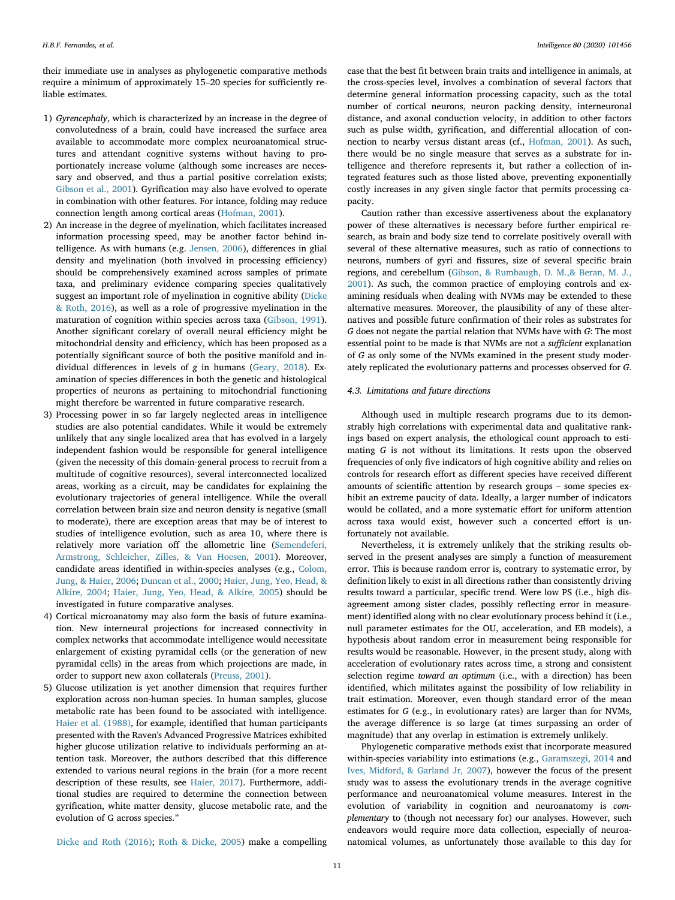their immediate use in analyses as phylogenetic comparative methods require a minimum of approximately 15–20 species for sufficiently reliable estimates.

- 1) Gyrencephaly, which is characterized by an increase in the degree of convolutedness of a brain, could have increased the surface area available to accommodate more complex neuroanatomical structures and attendant cognitive systems without having to proportionately increase volume (although some increases are necessary and observed, and thus a partial positive correlation exists; Gibson et al., 2001). Gyrification may also have evolved to operate in combination with other features. For intance, folding may reduce connection length among cortical areas (Hofman, 2001).
- 2) An increase in the degree of myelination, which facilitates increased information processing speed, may be another factor behind intelligence. As with humans (e.g. Jensen, 2006), differences in glial density and myelination (both involved in processing efficiency) should be comprehensively examined across samples of primate taxa, and preliminary evidence comparing species qualitatively suggest an important role of myelination in cognitive ability (Dicke & Roth, 2016), as well as a role of progressive myelination in the maturation of cognition within species across taxa (Gibson, 1991). Another significant corelary of overall neural efficiency might be mitochondrial density and efficiency, which has been proposed as a potentially significant source of both the positive manifold and individual differences in levels of g in humans (Geary, 2018). Examination of species differences in both the genetic and histological properties of neurons as pertaining to mitochondrial functioning might therefore be warrented in future comparative research.
- 3) Processing power in so far largely neglected areas in intelligence studies are also potential candidates. While it would be extremely unlikely that any single localized area that has evolved in a largely independent fashion would be responsible for general intelligence (given the necessity of this domain-general process to recruit from a multitude of cognitive resources), several interconnected localized areas, working as a circuit, may be candidates for explaining the evolutionary trajectories of general intelligence. While the overall correlation between brain size and neuron density is negative (small to moderate), there are exception areas that may be of interest to studies of intelligence evolution, such as area 10, where there is relatively more variation off the allometric line (Semendeferi, Armstrong, Schleicher, Zilles, & Van Hoesen, 2001). Moreover, candidate areas identified in within-species analyses (e.g., Colom, Jung, & Haier, 2006; Duncan et al., 2000; Haier, Jung, Yeo, Head, & Alkire, 2004; Haier, Jung, Yeo, Head, & Alkire, 2005) should be investigated in future comparative analyses.
- 4) Cortical microanatomy may also form the basis of future examination. New interneural projections for increased connectivity in complex networks that accommodate intelligence would necessitate enlargement of existing pyramidal cells (or the generation of new pyramidal cells) in the areas from which projections are made, in order to support new axon collaterals (Preuss, 2001).
- 5) Glucose utilization is yet another dimension that requires further exploration across non-human species. In human samples, glucose metabolic rate has been found to be associated with intelligence. Haier et al. (1988), for example, identified that human participants presented with the Raven's Advanced Progressive Matrices exhibited higher glucose utilization relative to individuals performing an attention task. Moreover, the authors described that this difference extended to various neural regions in the brain (for a more recent description of these results, see Haier, 2017). Furthermore, additional studies are required to determine the connection between gyrification, white matter density, glucose metabolic rate, and the evolution of G across species."

case that the best fit between brain traits and intelligence in animals, at the cross-species level, involves a combination of several factors that determine general information processing capacity, such as the total number of cortical neurons, neuron packing density, interneuronal distance, and axonal conduction velocity, in addition to other factors such as pulse width, gyrification, and differential allocation of connection to nearby versus distant areas (cf., Hofman, 2001). As such, there would be no single measure that serves as a substrate for intelligence and therefore represents it, but rather a collection of integrated features such as those listed above, preventing exponentially costly increases in any given single factor that permits processing capacity.

Caution rather than excessive assertiveness about the explanatory power of these alternatives is necessary before further empirical research, as brain and body size tend to correlate positively overall with several of these alternative measures, such as ratio of connections to neurons, numbers of gyri and fissures, size of several specific brain regions, and cerebellum (Gibson, & Rumbaugh, D. M.,& Beran, M. J., 2001). As such, the common practice of employing controls and examining residuals when dealing with NVMs may be extended to these alternative measures. Moreover, the plausibility of any of these alternatives and possible future confirmation of their roles as substrates for G does not negate the partial relation that NVMs have with G: The most essential point to be made is that NVMs are not a sufficient explanation of G as only some of the NVMs examined in the present study moderately replicated the evolutionary patterns and processes observed for G.

# 4.3. Limitations and future directions

Although used in multiple research programs due to its demonstrably high correlations with experimental data and qualitative rankings based on expert analysis, the ethological count approach to estimating G is not without its limitations. It rests upon the observed frequencies of only five indicators of high cognitive ability and relies on controls for research effort as different species have received different amounts of scientific attention by research groups – some species exhibit an extreme paucity of data. Ideally, a larger number of indicators would be collated, and a more systematic effort for uniform attention across taxa would exist, however such a concerted effort is unfortunately not available.

Nevertheless, it is extremely unlikely that the striking results observed in the present analyses are simply a function of measurement error. This is because random error is, contrary to systematic error, by definition likely to exist in all directions rather than consistently driving results toward a particular, specific trend. Were low PS (i.e., high disagreement among sister clades, possibly reflecting error in measurement) identified along with no clear evolutionary process behind it (i.e., null parameter estimates for the OU, acceleration, and EB models), a hypothesis about random error in measurement being responsible for results would be reasonable. However, in the present study, along with acceleration of evolutionary rates across time, a strong and consistent selection regime toward an optimum (i.e., with a direction) has been identified, which militates against the possibility of low reliability in trait estimation. Moreover, even though standard error of the mean estimates for G (e.g., in evolutionary rates) are larger than for NVMs, the average difference is so large (at times surpassing an order of magnitude) that any overlap in estimation is extremely unlikely.

Phylogenetic comparative methods exist that incorporate measured within-species variability into estimations (e.g., Garamszegi, 2014 and Ives, Midford, & Garland Jr, 2007), however the focus of the present study was to assess the evolutionary trends in the average cognitive performance and neuroanatomical volume measures. Interest in the evolution of variability in cognition and neuroanatomy is complementary to (though not necessary for) our analyses. However, such endeavors would require more data collection, especially of neuroanatomical volumes, as unfortunately those available to this day for

Dicke and Roth (2016); Roth & Dicke, 2005) make a compelling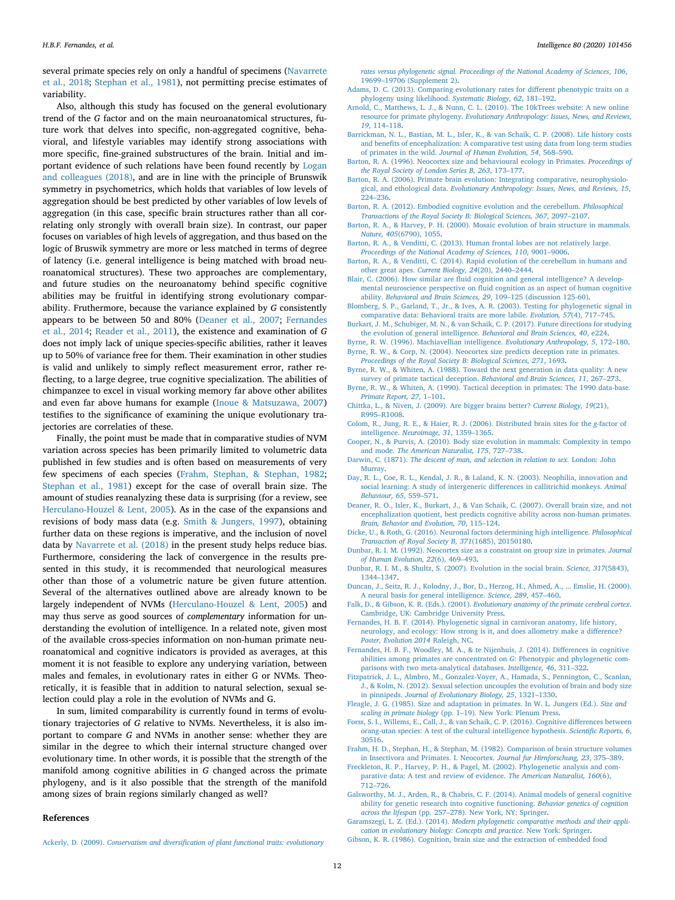several primate species rely on only a handful of specimens (Navarrete et al., 2018; Stephan et al., 1981), not permitting precise estimates of variability.

Also, although this study has focused on the general evolutionary trend of the G factor and on the main neuroanatomical structures, future work that delves into specific, non-aggregated cognitive, behavioral, and lifestyle variables may identify strong associations with more specific, fine-grained substructures of the brain. Initial and important evidence of such relations have been found recently by Logan and colleagues (2018), and are in line with the principle of Brunswik symmetry in psychometrics, which holds that variables of low levels of aggregation should be best predicted by other variables of low levels of aggregation (in this case, specific brain structures rather than all correlating only strongly with overall brain size). In contrast, our paper focuses on variables of high levels of aggregation, and thus based on the logic of Bruswik symmetry are more or less matched in terms of degree of latency (i.e. general intelligence is being matched with broad neuroanatomical structures). These two approaches are complementary, and future studies on the neuroanatomy behind specific cognitive abilities may be fruitful in identifying strong evolutionary comparability. Fruthermore, because the variance explained by G consistently appears to be between 50 and 80% (Deaner et al., 2007; Fernandes et al., 2014; Reader et al., 2011), the existence and examination of G does not imply lack of unique species-specific abilities, rather it leaves up to 50% of variance free for them. Their examination in other studies is valid and unlikely to simply reflect measurement error, rather reflecting, to a large degree, true cognitive specialization. The abilities of chimpanzee to excel in visual working memory far above other abilites and even far above humans for example (Inoue & Matsuzawa, 2007) testifies to the significance of examining the unique evolutionary trajectories are correlaties of these.

Finally, the point must be made that in comparative studies of NVM variation across species has been primarily limited to volumetric data published in few studies and is often based on measurements of very few specimens of each species (Frahm, Stephan, & Stephan, 1982; Stephan et al., 1981) except for the case of overall brain size. The amount of studies reanalyzing these data is surprising (for a review, see Herculano-Houzel & Lent, 2005). As in the case of the expansions and revisions of body mass data (e.g. Smith & Jungers, 1997), obtaining further data on these regions is imperative, and the inclusion of novel data by Navarrete et al. (2018) in the present study helps reduce bias. Furthermore, considering the lack of convergence in the results presented in this study, it is recommended that neurological measures other than those of a volumetric nature be given future attention. Several of the alternatives outlined above are already known to be largely independent of NVMs (Herculano-Houzel & Lent, 2005) and may thus serve as good sources of complementary information for understanding the evolution of intelligence. In a related note, given most of the available cross-species information on non-human primate neuroanatomical and cognitive indicators is provided as averages, at this moment it is not feasible to explore any underying variation, between males and females, in evolutionary rates in either G or NVMs. Theoretically, it is feasible that in addition to natural selection, sexual selection could play a role in the evolution of NVMs and G.

In sum, limited comparability is currently found in terms of evolutionary trajectories of G relative to NVMs. Nevertheless, it is also important to compare G and NVMs in another sense: whether they are similar in the degree to which their internal structure changed over evolutionary time. In other words, it is possible that the strength of the manifold among cognitive abilities in G changed across the primate phylogeny, and is it also possible that the strength of the manifold among sizes of brain regions similarly changed as well?

# References

rates versus phylogenetic signal. Proceedings of the National Academy of Sciences, 106, 19699–19706 (Supplement 2).

- Adams, D. C. (2013). Comparing evolutionary rates for different phenotypic traits on a phylogeny using likelihood. Systematic Biology, 62, 181–192.
- Arnold, C., Matthews, L. J., & Nunn, C. L. (2010). The 10kTrees website: A new online resource for primate phylogeny. Evolutionary Anthropology: Issues, News, and Reviews, 19, 114–118.
- Barrickman, N. L., Bastian, M. L., Isler, K., & van Schaik, C. P. (2008). Life history costs and benefits of encephalization: A comparative test using data from long-term studies of primates in the wild. Journal of Human Evolution, 54, 568–590.
- Barton, R. A. (1996). Neocortex size and behavioural ecology in Primates. Proceedings of the Royal Society of London Series B, 263, 173–177.
- Barton, R. A. (2006). Primate brain evolution: Integrating comparative, neurophysiological, and ethological data. Evolutionary Anthropology: Issues, News, and Reviews, 15, 224–236.
- Barton, R. A. (2012). Embodied cognitive evolution and the cerebellum. Philosophical Transactions of the Royal Society B: Biological Sciences, 367, 2097–2107.
- Barton, R. A., & Harvey, P. H. (2000). Mosaic evolution of brain structure in mammals. Nature, 405(6790), 1055.
- Barton, R. A., & Venditti, C. (2013). Human frontal lobes are not relatively large. Proceedings of the National Academy of Sciences, 110, 9001–9006.
- Barton, R. A., & Venditti, C. (2014). Rapid evolution of the cerebellum in humans and other great apes. Current Biology, 24(20), 2440–2444.
- Blair, C. (2006). How similar are fluid cognition and general intelligence? A developmental neuroscience perspective on fluid cognition as an aspect of human cognitive ability. Behavioral and Brain Sciences, 29, 109–125 (discussion 125-60).
- Blomberg, S. P., Garland, T., Jr., & Ives, A. R. (2003). Testing for phylogenetic signal in comparative data: Behavioral traits are more labile. Evolution, 57(4), 717–745.
- Burkart, J. M., Schubiger, M. N., & van Schaik, C. P. (2017). Future directions for studying the evolution of general intelligence. Behavioral and Brain Sciences, 40, e224.
- Byrne, R. W. (1996). Machiavellian intelligence. Evolutionary Anthropology, 5, 172–180.
- Byrne, R. W., & Corp, N. (2004). Neocortex size predicts deception rate in primates. Proceedings of the Royal Society B: Biological Sciences, 271, 1693.
- Byrne, R. W., & Whiten, A. (1988). Toward the next generation in data quality: A new survey of primate tactical deception. Behavioral and Brain Sciences, 11, 267-273.
- Byrne, R. W., & Whiten, A. (1990). Tactical deception in primates: The 1990 data-base. Primate Report, 27, 1–101.
- Chittka, L., & Niven, J. (2009). Are bigger brains better? Current Biology, 19(21), R995–R1008.
- Colom, R., Jung, R. E., & Haier, R. J. (2006). Distributed brain sites for the g-factor of intelligence. Neuroimage, 31, 1359–1365.
- Cooper, N., & Purvis, A. (2010). Body size evolution in mammals: Complexity in tempo and mode. The American Naturalist, 175, 727–738.
- Darwin, C. (1871). The descent of man, and selection in relation to sex. London: John Murray.
- Day, R. L., Coe, R. L., Kendal, J. R., & Laland, K. N. (2003). Neophilia, innovation and social learning: A study of intergeneric differences in callitrichid monkeys. Animal Behaviour, 65, 559–571.
- Deaner, R. O., Isler, K., Burkart, J., & Van Schaik, C. (2007). Overall brain size, and not encephalization quotient, best predicts cognitive ability across non-human primates. Brain, Behavior and Evolution, 70, 115–124.
- Dicke, U., & Roth, G. (2016). Neuronal factors determining high intelligence. Philosophical Transaction of Royal Society B, 371(1685), 20150180.
- Dunbar, R. I. M. (1992). Neocortex size as a constraint on group size in primates. Journal of Human Evolution, 22(6), 469–493.
- Dunbar, R. I. M., & Shultz, S. (2007). Evolution in the social brain. Science, 317(5843), 1344–1347.
- Duncan, J., Seitz, R. J., Kolodny, J., Bor, D., Herzog, H., Ahmed, A., ... Emslie, H. (2000). A neural basis for general intelligence. Science, 289, 457–460.
- Falk, D., & Gibson, K. R. (Eds.). (2001). Evolutionary anatomy of the primate cerebral cortex. Cambridge, UK: Cambridge University Press.
- Fernandes, H. B. F. (2014). Phylogenetic signal in carnivoran anatomy, life history, neurology, and ecology: How strong is it, and does allometry make a difference? Poster, Evolution 2014 Raleigh, NC.
- Fernandes, H. B. F., Woodley, M. A., & te Nijenhuis, J. (2014). Differences in cognitive abilities among primates are concentrated on G: Phenotypic and phylogenetic comparisons with two meta-analytical databases. Intelligence, 46, 311–322.
- Fitzpatrick, J. L., Almbro, M., Gonzalez-Voyer, A., Hamada, S., Pennington, C., Scanlan, J., & Kolm, N. (2012). Sexual selection uncouples the evolution of brain and body size in pinnipeds. Journal of Evolutionary Biology, 25, 1321–1330.
- Fleagle, J. G. (1985). Size and adaptation in primates. In W. L. Jungers (Ed.). Size and scaling in primate biology (pp. 1–19). New York: Plenum Press.
- Forss, S. I., Willems, E., Call, J., & van Schaik, C. P. (2016). Cognitive differences between orang-utan species: A test of the cultural intelligence hypothesis. Scientific Reports, 6, 30516.
- Frahm, H. D., Stephan, H., & Stephan, M. (1982). Comparison of brain structure volumes in Insectivora and Primates. I. Neocortex. Journal fur Hirnforschung, 23, 375–389.
- Freckleton, R. P., Harvey, P. H., & Pagel, M. (2002). Phylogenetic analysis and comparative data: A test and review of evidence. The American Naturalist, 160(6), 712–726.
- Galsworthy, M. J., Arden, R., & Chabris, C. F. (2014). Animal models of general cognitive ability for genetic research into cognitive functioning. Behavior genetics of cognition across the lifespan (pp. 257–278). New York, NY: Springer.

Garamszegi, L. Z. (Ed.). (2014). Modern phylogenetic comparative methods and their application in evolutionary biology: Concepts and practice. New York: Springer.

Ackerly, D. (2009). Conservatism and diversification of plant functional traits: evolutionary

12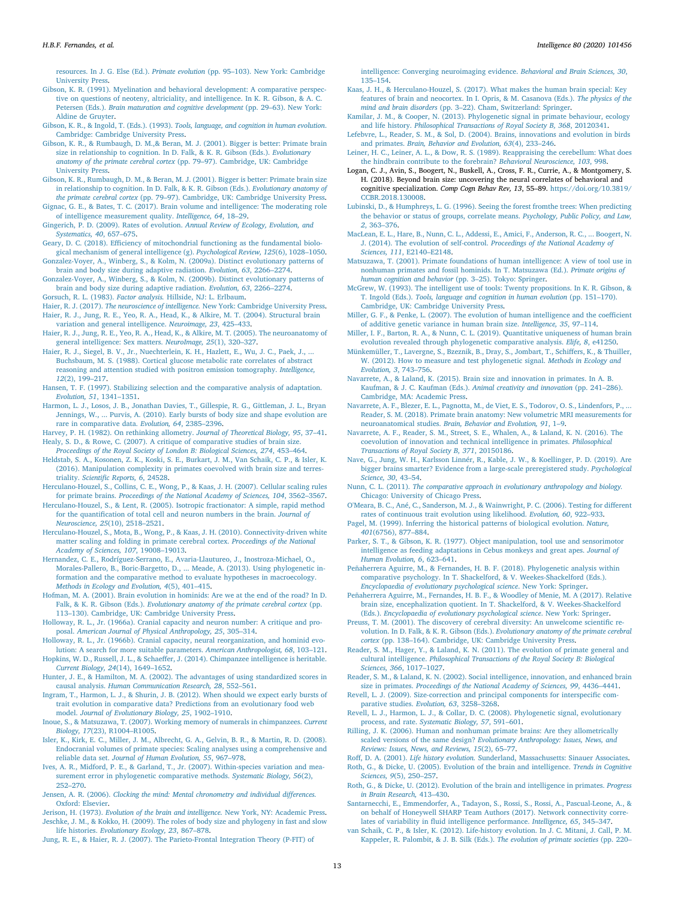resources. In J. G. Else (Ed.). Primate evolution (pp. 95–103). New York: Cambridge University Press.

- Gibson, K. R. (1991). Myelination and behavioral development: A comparative perspective on questions of neoteny, altriciality, and intelligence. In K. R. Gibson, & A. C. Petersen (Eds.). Brain maturation and cognitive development (pp. 29–63). New York: Aldine de Gruyter.
- Gibson, K. R., & Ingold, T. (Eds.). (1993). Tools, language, and cognition in human evolution. Cambridge: Cambridge University Press.
- Gibson, K. R., & Rumbaugh, D. M.,& Beran, M. J. (2001). Bigger is better: Primate brain size in relationship to cognition. In D. Falk, & K. R. Gibson (Eds.). Evolutionary anatomy of the primate cerebral cortex (pp. 79–97). Cambridge, UK: Cambridge University Press.
- Gibson, K. R., Rumbaugh, D. M., & Beran, M. J. (2001). Bigger is better: Primate brain size in relationship to cognition. In D. Falk, & K. R. Gibson (Eds.). Evolutionary anatomy of the primate cerebral cortex (pp. 79–97). Cambridge, UK: Cambridge University Press. Gignac, G. E., & Bates, T. C. (2017). Brain volume and intelligence: The moderating role
- of intelligence measurement quality. Intelligence, 64, 18–29.
- Gingerich, P. D. (2009). Rates of evolution. Annual Review of Ecology, Evolution, and Systematics, 40, 657–675.
- Geary, D. C. (2018). Efficiency of mitochondrial functioning as the fundamental biological mechanism of general intelligence (g). Psychological Review, 125(6), 1028–1050. Gonzalez-Voyer, A., Winberg, S., & Kolm, N. (2009a). Distinct evolutionary patterns of
- brain and body size during adaptive radiation. Evolution, 63, 2266–2274.
- Gonzalez-Voyer, A., Winberg, S., & Kolm, N. (2009b). Distinct evolutionary patterns of brain and body size during adaptive radiation. Evolution, 63, 2266–2274.
- Gorsuch, R. L. (1983). Factor analysis. Hillside, NJ: L. Erlbaum.
- Haier, R. J. (2017). The neuroscience of intelligence. New York: Cambridge University Press. Haier, R. J., Jung, R. E., Yeo, R. A., Head, K., & Alkire, M. T. (2004). Structural brain variation and general intelligence. Neuroimage, 23, 425–433.
- Haier, R. J., Jung, R. E., Yeo, R. A., Head, K., & Alkire, M. T. (2005). The neuroanatomy of general intelligence: Sex matters. NeuroImage, 25(1), 320–327.
- Haier, R. J., Siegel, B. V., Jr., Nuechterlein, K. H., Hazlett, E., Wu, J. C., Paek, J., ... Buchsbaum, M. S. (1988). Cortical glucose metabolic rate correlates of abstract reasoning and attention studied with positron emission tomography. Intelligence, 12(2), 199–217.
- Hansen, T. F. (1997). Stabilizing selection and the comparative analysis of adaptation. Evolution, 51, 1341–1351.
- Harmon, L. J., Losos, J. B., Jonathan Davies, T., Gillespie, R. G., Gittleman, J. L., Bryan Jennings, W., ... Purvis, A. (2010). Early bursts of body size and shape evolution are rare in comparative data. Evolution, 64, 2385–2396.
- Harvey, P. H. (1982). On rethinking allometry. Journal of Theoretical Biology, 95, 37–41. Healy, S. D., & Rowe, C. (2007). A critique of comparative studies of brain size.
- Proceedings of the Royal Society of London B: Biological Sciences, 274, 453–464.
- Heldstab, S. A., Kosonen, Z. K., Koski, S. E., Burkart, J. M., Van Schaik, C. P., & Isler, K. (2016). Manipulation complexity in primates coevolved with brain size and terrestriality. Scientific Reports, 6, 24528.
- Herculano-Houzel, S., Collins, C. E., Wong, P., & Kaas, J. H. (2007). Cellular scaling rules for primate brains. Proceedings of the National Academy of Sciences, 104, 3562–3567.
- Herculano-Houzel, S., & Lent, R. (2005). Isotropic fractionator: A simple, rapid method for the quantification of total cell and neuron numbers in the brain. Journal of Neuroscience, 25(10), 2518–2521.
- Herculano-Houzel, S., Mota, B., Wong, P., & Kaas, J. H. (2010). Connectivity-driven white matter scaling and folding in primate cerebral cortex. Proceedings of the National Academy of Sciences, 107, 19008–19013.
- Hernandez, C. E., Rodríguez-Serrano, E., Avaria-Llautureo, J., Inostroza-Michael, O., Morales-Pallero, B., Boric-Bargetto, D., ... Meade, A. (2013). Using phylogenetic information and the comparative method to evaluate hypotheses in macroecology. Methods in Ecology and Evolution, 4(5), 401–415.
- Hofman, M. A. (2001). Brain evolution in hominids: Are we at the end of the road? In D. Falk, & K. R. Gibson (Eds.). Evolutionary anatomy of the primate cerebral cortex (pp. 113–130). Cambridge, UK: Cambridge University Press.
- Holloway, R. L., Jr. (1966a). Cranial capacity and neuron number: A critique and proposal. American Journal of Physical Anthropology, 25, 305–314.
- Holloway, R. L., Jr. (1966b). Cranial capacity, neural reorganization, and hominid evolution: A search for more suitable parameters. American Anthropologist, 68, 103–121. Hopkins, W. D., Russell, J. L., & Schaeffer, J. (2014). Chimpanzee intelligence is heritable.
- Current Biology, 24(14), 1649–1652. Hunter, J. E., & Hamilton, M. A. (2002). The advantages of using standardized scores in
- causal analysis. Human Communication Research, 28, 552–561. Ingram, T., Harmon, L. J., & Shurin, J. B. (2012). When should we expect early bursts of
- trait evolution in comparative data? Predictions from an evolutionary food web model. Journal of Evolutionary Biology, 25, 1902–1910.
- Inoue, S., & Matsuzawa, T. (2007). Working memory of numerals in chimpanzees. Current Biology, 17(23), R1004–R1005.
- Isler, K., Kirk, E. C., Miller, J. M., Albrecht, G. A., Gelvin, B. R., & Martin, R. D. (2008). Endocranial volumes of primate species: Scaling analyses using a comprehensive and reliable data set. Journal of Human Evolution, 55, 967–978.
- Ives, A. R., Midford, P. E., & Garland, T., Jr. (2007). Within-species variation and measurement error in phylogenetic comparative methods. Systematic Biology, 56(2), 252–270.
- Jensen, A. R. (2006). Clocking the mind: Mental chronometry and individual differences. Oxford: Elsevier.
- Jerison, H. (1973). Evolution of the brain and intelligence. New York, NY: Academic Press. Jeschke, J. M., & Kokko, H. (2009). The roles of body size and phylogeny in fast and slow life histories. Evolutionary Ecology, 23, 867–878.
- Jung, R. E., & Haier, R. J. (2007). The Parieto-Frontal Integration Theory (P-FIT) of

intelligence: Converging neuroimaging evidence. Behavioral and Brain Sciences, 30, 135–154.

- Kaas, J. H., & Herculano-Houzel, S. (2017). What makes the human brain special: Key features of brain and neocortex. In I. Opris, & M. Casanova (Eds.). The physics of the mind and brain disorders (pp. 3–22). Cham, Switzerland: Springer.
- Kamilar, J. M., & Cooper, N. (2013). Phylogenetic signal in primate behaviour, ecology and life history. Philosophical Transactions of Royal Society B, 368, 20120341.
- Lefebvre, L., Reader, S. M., & Sol, D. (2004). Brains, innovations and evolution in birds and primates. Brain, Behavior and Evolution, 63(4), 233–246.
- Leiner, H. C., Leiner, A. L., & Dow, R. S. (1989). Reappraising the cerebellum: What does the hindbrain contribute to the forebrain? Behavioral Neuroscience, 103, 998.
- Logan, C. J., Avin, S., Boogert, N., Buskell, A., Cross, F. R., Currie, A., & Montgomery, S. H. (2018). Beyond brain size: uncovering the neural correlates of behavioral and cognitive specialization. Comp Cogn Behav Rev, 13, 55–89. https://doi.org/10.3819/ CCBR.2018.130008.
- Lubinski, D., & Humphreys, L. G. (1996). Seeing the forest fromthe trees: When predicting the behavior or status of groups, correlate means. Psychology, Public Policy, and Law, 2, 363–376.
- MacLean, E. L., Hare, B., Nunn, C. L., Addessi, E., Amici, F., Anderson, R. C., ... Boogert, N. J. (2014). The evolution of self-control. Proceedings of the National Academy of Sciences, 111, E2140–E2148.
- Matsuzawa, T. (2001). Primate foundations of human intelligence: A view of tool use in nonhuman primates and fossil hominids. In T. Matsuzawa (Ed.). Primate origins of human cognition and behavior (pp. 3–25). Tokyo: Springer.

McGrew, W. (1993). The intelligent use of tools: Twenty propositions. In K. R. Gibson, & T. Ingold (Eds.). Tools, language and cognition in human evolution (pp. 151–170). Cambridge, UK: Cambridge University Press.

- Miller, G. F., & Penke, L. (2007). The evolution of human intelligence and the coefficient of additive genetic variance in human brain size. Intelligence, 35, 97–114.
- Miller, I. F., Barton, R. A., & Nunn, C. L. (2019). Quantitative uniqueness of human brain evolution revealed through phylogenetic comparative analysis. Elife, 8, e41250.
- Münkemüller, T., Lavergne, S., Bzeznik, B., Dray, S., Jombart, T., Schiffers, K., & Thuiller, W. (2012). How to measure and test phylogenetic signal. Methods in Ecology and Evolution, 3, 743–756.
- Navarrete, A., & Laland, K. (2015). Brain size and innovation in primates. In A. B. Kaufman, & J. C. Kaufman (Eds.). Animal creativity and innovation (pp. 241–286). Cambridge, MA: Academic Press.
- Navarrete, A. F., Blezer, E. L., Pagnotta, M., de Viet, E. S., Todorov, O. S., Lindenfors, P., ... Reader, S. M. (2018). Primate brain anatomy: New volumetric MRI measurements for neuroanatomical studies. Brain, Behavior and Evolution, 91, 1–9.
- Navarrete, A. F., Reader, S. M., Street, S. E., Whalen, A., & Laland, K. N. (2016). The coevolution of innovation and technical intelligence in primates. Philosophical Transactions of Royal Society B, 371, 20150186.
- Nave, G., Jung, W. H., Karlsson Linnér, R., Kable, J. W., & Koellinger, P. D. (2019). Are bigger brains smarter? Evidence from a large-scale preregistered study. Psychological Science, 30, 43–54.
- Nunn, C. L. (2011). The comparative approach in evolutionary anthropology and biology. Chicago: University of Chicago Press.
- O'Meara, B. C., Ané, C., Sanderson, M. J., & Wainwright, P. C. (2006). Testing for different rates of continuous trait evolution using likelihood. Evolution, 60, 922–933.
- Pagel, M. (1999). Inferring the historical patterns of biological evolution. Nature, 401(6756), 877–884.
- Parker, S. T., & Gibson, K. R. (1977). Object manipulation, tool use and sensorimotor intelligence as feeding adaptations in Cebus monkeys and great apes. Journal of Human Evolution, 6, 623–641.
- Peñaherrera Aguirre, M., & Fernandes, H. B. F. (2018). Phylogenetic analysis within comparative psychology. In T. Shackelford, & V. Weekes-Shackelford (Eds.). Encyclopaedia of evolutionary psychological science. New York: Springer.
- Peñaherrera Aguirre, M., Fernandes, H. B. F., & Woodley of Menie, M. A (2017). Relative brain size, encephalization quotient. In T. Shackelford, & V. Weekes-Shackelford (Eds.). Encyclopaedia of evolutionary psychological science. New York: Springer.
- Preuss, T. M. (2001). The discovery of cerebral diversity: An unwelcome scientific revolution. In D. Falk, & K. R. Gibson (Eds.). Evolutionary anatomy of the primate cerebral cortex (pp. 138–164). Cambridge, UK: Cambridge University Press.
- Reader, S. M., Hager, Y., & Laland, K. N. (2011). The evolution of primate general and cultural intelligence. Philosophical Transactions of the Royal Society B: Biological Sciences, 366, 1017–1027.
- Reader, S. M., & Laland, K. N. (2002). Social intelligence, innovation, and enhanced brain size in primates. Proceedings of the National Academy of Sciences, 99, 4436–4441.
- Revell, L. J. (2009). Size-correction and principal components for interspecific comparative studies. Evolution, 63, 3258–3268.
- Revell, L. J., Harmon, L. J., & Collar, D. C. (2008). Phylogenetic signal, evolutionary process, and rate. Systematic Biology, 57, 591–601.
- Rilling, J. K. (2006). Human and nonhuman primate brains: Are they allometrically scaled versions of the same design? Evolutionary Anthropology: Issues, News, and Reviews: Issues, News, and Reviews, 15(2), 65–77.
- Roff, D. A. (2001). Life history evolution. Sunderland, Massachusetts: Sinauer Associates. Roth, G., & Dicke, U. (2005). Evolution of the brain and intelligence. Trends in Cognitive Sciences, 9(5), 250–257.
- Roth, G., & Dicke, U. (2012). Evolution of the brain and intelligence in primates. Progress in Brain Research, 413–430.
- Santarnecchi, E., Emmendorfer, A., Tadayon, S., Rossi, S., Rossi, A., Pascual-Leone, A., & on behalf of Honeywell SHARP Team Authors (2017). Network connectivity correlates of variability in fluid intelligence performance. Intelligence, 65, 345–347.
- van Schaik, C. P., & Isler, K. (2012). Life-history evolution. In J. C. Mitani, J. Call, P. M. Kappeler, R. Palombit, & J. B. Silk (Eds.). The evolution of primate societies (pp. 220–